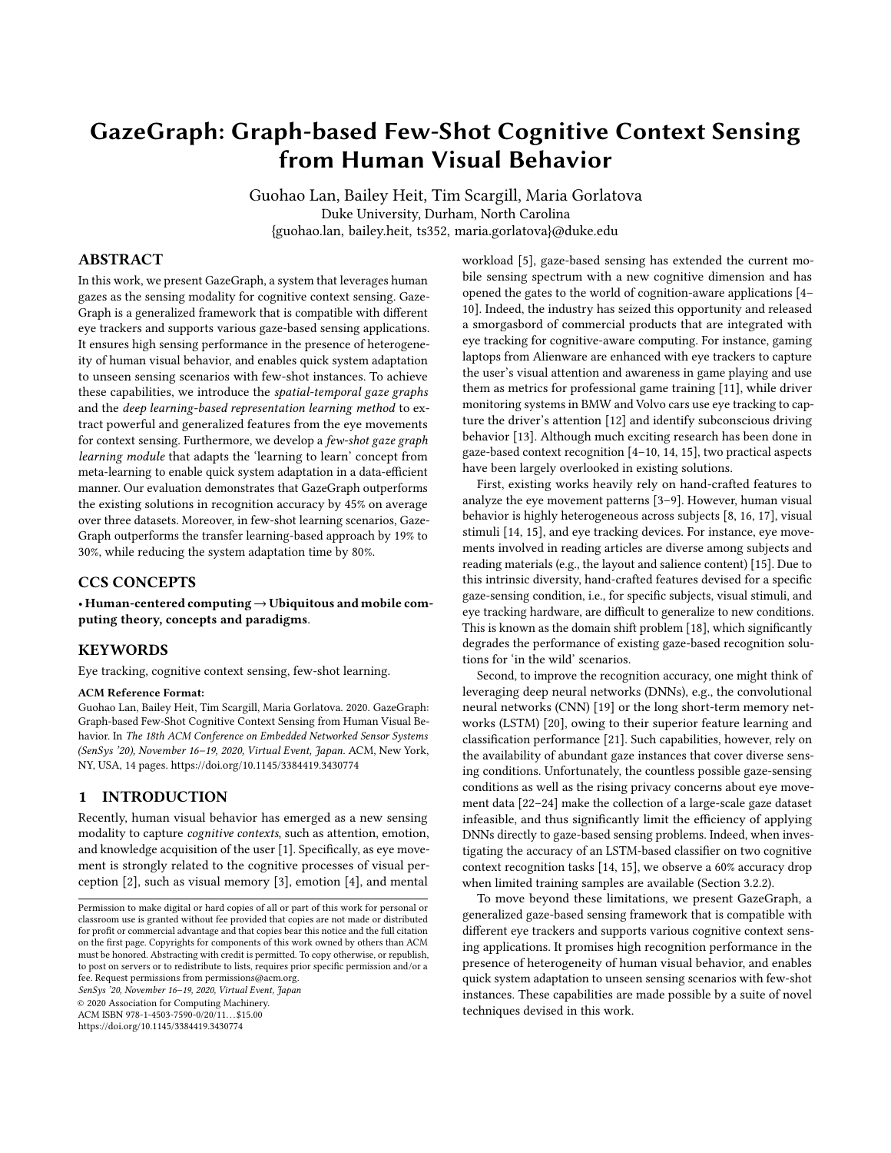# GazeGraph: Graph-based Few-Shot Cognitive Context Sensing from Human Visual Behavior

Guohao Lan, Bailey Heit, Tim Scargill, Maria Gorlatova Duke University, Durham, North Carolina {guohao.lan, bailey.heit, ts352, maria.gorlatova}@duke.edu

# ABSTRACT

In this work, we present GazeGraph, a system that leverages human gazes as the sensing modality for cognitive context sensing. Gaze-Graph is a generalized framework that is compatible with different eye trackers and supports various gaze-based sensing applications. It ensures high sensing performance in the presence of heterogeneity of human visual behavior, and enables quick system adaptation to unseen sensing scenarios with few-shot instances. To achieve these capabilities, we introduce the spatial-temporal gaze graphs and the deep learning-based representation learning method to extract powerful and generalized features from the eye movements for context sensing. Furthermore, we develop a few-shot gaze graph learning module that adapts the 'learning to learn' concept from meta-learning to enable quick system adaptation in a data-efficient manner. Our evaluation demonstrates that GazeGraph outperforms the existing solutions in recognition accuracy by 45% on average over three datasets. Moreover, in few-shot learning scenarios, Gaze-Graph outperforms the transfer learning-based approach by 19% to 30%, while reducing the system adaptation time by 80%.

### CCS CONCEPTS

• Human-centered computing→Ubiquitous and mobile computing theory, concepts and paradigms.

# **KEYWORDS**

Eye tracking, cognitive context sensing, few-shot learning.

### ACM Reference Format:

Guohao Lan, Bailey Heit, Tim Scargill, Maria Gorlatova. 2020. GazeGraph: Graph-based Few-Shot Cognitive Context Sensing from Human Visual Behavior. In The 18th ACM Conference on Embedded Networked Sensor Systems (SenSys '20), November 16–19, 2020, Virtual Event, Japan. ACM, New York, NY, USA, [14](#page-13-0) pages.<https://doi.org/10.1145/3384419.3430774>

# 1 INTRODUCTION

Recently, human visual behavior has emerged as a new sensing modality to capture cognitive contexts, such as attention, emotion, and knowledge acquisition of the user [\[1\]](#page-12-0). Specifically, as eye movement is strongly related to the cognitive processes of visual perception [\[2\]](#page-12-1), such as visual memory [\[3\]](#page-12-2), emotion [\[4\]](#page-12-3), and mental

SenSys '20, November 16–19, 2020, Virtual Event, Japan © 2020 Association for Computing Machinery.

ACM ISBN 978-1-4503-7590-0/20/11. . . \$15.00

<https://doi.org/10.1145/3384419.3430774>

workload [\[5\]](#page-12-4), gaze-based sensing has extended the current mobile sensing spectrum with a new cognitive dimension and has opened the gates to the world of cognition-aware applications [\[4–](#page-12-3) [10\]](#page-12-5). Indeed, the industry has seized this opportunity and released a smorgasbord of commercial products that are integrated with eye tracking for cognitive-aware computing. For instance, gaming laptops from Alienware are enhanced with eye trackers to capture the user's visual attention and awareness in game playing and use them as metrics for professional game training [\[11\]](#page-12-6), while driver monitoring systems in BMW and Volvo cars use eye tracking to capture the driver's attention [\[12\]](#page-12-7) and identify subconscious driving behavior [\[13\]](#page-12-8). Although much exciting research has been done in gaze-based context recognition [\[4](#page-12-3)[–10,](#page-12-5) [14,](#page-12-9) [15\]](#page-12-10), two practical aspects have been largely overlooked in existing solutions.

First, existing works heavily rely on hand-crafted features to analyze the eye movement patterns [\[3](#page-12-2)[–9\]](#page-12-11). However, human visual behavior is highly heterogeneous across subjects [\[8,](#page-12-12) [16,](#page-12-13) [17\]](#page-12-14), visual stimuli [\[14,](#page-12-9) [15\]](#page-12-10), and eye tracking devices. For instance, eye movements involved in reading articles are diverse among subjects and reading materials (e.g., the layout and salience content) [\[15\]](#page-12-10). Due to this intrinsic diversity, hand-crafted features devised for a specific gaze-sensing condition, i.e., for specific subjects, visual stimuli, and eye tracking hardware, are difficult to generalize to new conditions. This is known as the domain shift problem [\[18\]](#page-12-15), which significantly degrades the performance of existing gaze-based recognition solutions for 'in the wild' scenarios.

Second, to improve the recognition accuracy, one might think of leveraging deep neural networks (DNNs), e.g., the convolutional neural networks (CNN) [\[19\]](#page-12-16) or the long short-term memory networks (LSTM) [\[20\]](#page-12-17), owing to their superior feature learning and classification performance [\[21\]](#page-12-18). Such capabilities, however, rely on the availability of abundant gaze instances that cover diverse sensing conditions. Unfortunately, the countless possible gaze-sensing conditions as well as the rising privacy concerns about eye movement data [\[22–](#page-12-19)[24\]](#page-12-20) make the collection of a large-scale gaze dataset infeasible, and thus significantly limit the efficiency of applying DNNs directly to gaze-based sensing problems. Indeed, when investigating the accuracy of an LSTM-based classifier on two cognitive context recognition tasks [\[14,](#page-12-9) [15\]](#page-12-10), we observe a 60% accuracy drop when limited training samples are available (Section [3.2.2\)](#page-2-0).

To move beyond these limitations, we present GazeGraph, a generalized gaze-based sensing framework that is compatible with different eye trackers and supports various cognitive context sensing applications. It promises high recognition performance in the presence of heterogeneity of human visual behavior, and enables quick system adaptation to unseen sensing scenarios with few-shot instances. These capabilities are made possible by a suite of novel techniques devised in this work.

Permission to make digital or hard copies of all or part of this work for personal or classroom use is granted without fee provided that copies are not made or distributed for profit or commercial advantage and that copies bear this notice and the full citation on the first page. Copyrights for components of this work owned by others than ACM must be honored. Abstracting with credit is permitted. To copy otherwise, or republish, to post on servers or to redistribute to lists, requires prior specific permission and/or a fee. Request permissions from permissions@acm.org.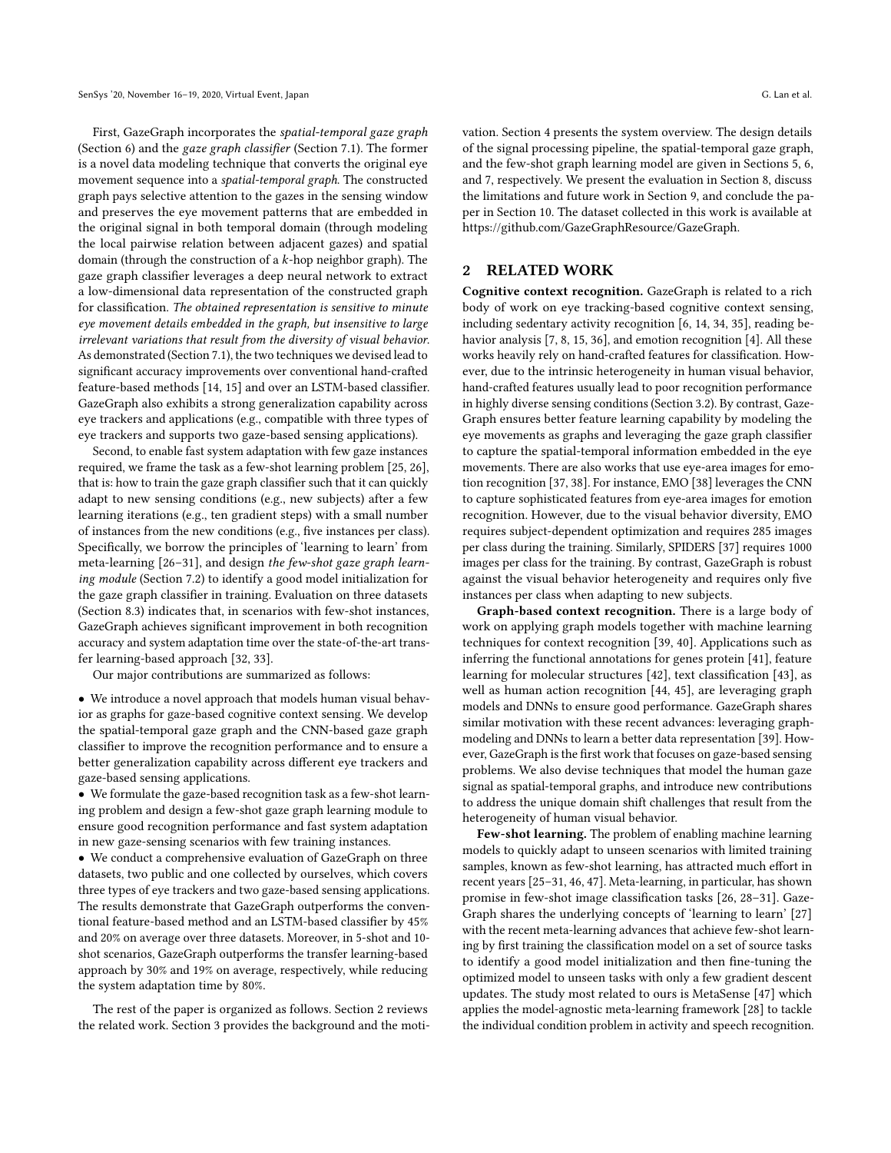First, GazeGraph incorporates the spatial-temporal gaze graph (Section [6\)](#page-4-0) and the gaze graph classifier (Section [7.1\)](#page-6-0). The former is a novel data modeling technique that converts the original eye movement sequence into a spatial-temporal graph. The constructed graph pays selective attention to the gazes in the sensing window and preserves the eye movement patterns that are embedded in the original signal in both temporal domain (through modeling the local pairwise relation between adjacent gazes) and spatial domain (through the construction of a  $k$ -hop neighbor graph). The gaze graph classifier leverages a deep neural network to extract a low-dimensional data representation of the constructed graph for classification. The obtained representation is sensitive to minute eye movement details embedded in the graph, but insensitive to large irrelevant variations that result from the diversity of visual behavior. As demonstrated (Section [7.1\)](#page-6-0), the two techniques we devised lead to significant accuracy improvements over conventional hand-crafted feature-based methods [\[14,](#page-12-9) [15\]](#page-12-10) and over an LSTM-based classifier. GazeGraph also exhibits a strong generalization capability across eye trackers and applications (e.g., compatible with three types of eye trackers and supports two gaze-based sensing applications).

Second, to enable fast system adaptation with few gaze instances required, we frame the task as a few-shot learning problem [\[25,](#page-12-21) [26\]](#page-12-22), that is: how to train the gaze graph classifier such that it can quickly adapt to new sensing conditions (e.g., new subjects) after a few learning iterations (e.g., ten gradient steps) with a small number of instances from the new conditions (e.g., five instances per class). Specifically, we borrow the principles of 'learning to learn' from meta-learning [\[26](#page-12-22)[–31\]](#page-12-23), and design the few-shot gaze graph learning module (Section [7.2\)](#page-6-1) to identify a good model initialization for the gaze graph classifier in training. Evaluation on three datasets (Section [8.3\)](#page-9-0) indicates that, in scenarios with few-shot instances, GazeGraph achieves significant improvement in both recognition accuracy and system adaptation time over the state-of-the-art transfer learning-based approach [\[32,](#page-12-24) [33\]](#page-12-25).

Our major contributions are summarized as follows:

• We introduce a novel approach that models human visual behavior as graphs for gaze-based cognitive context sensing. We develop the spatial-temporal gaze graph and the CNN-based gaze graph classifier to improve the recognition performance and to ensure a better generalization capability across different eye trackers and gaze-based sensing applications.

• We formulate the gaze-based recognition task as a few-shot learning problem and design a few-shot gaze graph learning module to ensure good recognition performance and fast system adaptation in new gaze-sensing scenarios with few training instances.

• We conduct a comprehensive evaluation of GazeGraph on three datasets, two public and one collected by ourselves, which covers three types of eye trackers and two gaze-based sensing applications. The results demonstrate that GazeGraph outperforms the conventional feature-based method and an LSTM-based classifier by 45% and 20% on average over three datasets. Moreover, in 5-shot and 10 shot scenarios, GazeGraph outperforms the transfer learning-based approach by 30% and 19% on average, respectively, while reducing the system adaptation time by 80%.

The rest of the paper is organized as follows. Section [2](#page-1-0) reviews the related work. Section [3](#page-2-1) provides the background and the motivation. Section [4](#page-3-0) presents the system overview. The design details of the signal processing pipeline, the spatial-temporal gaze graph, and the few-shot graph learning model are given in Sections [5,](#page-3-1) [6,](#page-4-0) and [7,](#page-6-2) respectively. We present the evaluation in Section [8,](#page-7-0) discuss the limitations and future work in Section [9,](#page-11-0) and conclude the paper in Section [10.](#page-11-1) The dataset collected in this work is available at https://github.com/GazeGraphResource/GazeGraph.

# <span id="page-1-0"></span>2 RELATED WORK

Cognitive context recognition. GazeGraph is related to a rich body of work on eye tracking-based cognitive context sensing, including sedentary activity recognition [\[6,](#page-12-26) [14,](#page-12-9) [34,](#page-12-27) [35\]](#page-12-28), reading behavior analysis [\[7,](#page-12-29) [8,](#page-12-12) [15,](#page-12-10) [36\]](#page-12-30), and emotion recognition [\[4\]](#page-12-3). All these works heavily rely on hand-crafted features for classification. However, due to the intrinsic heterogeneity in human visual behavior, hand-crafted features usually lead to poor recognition performance in highly diverse sensing conditions (Section [3.2\)](#page-2-2). By contrast, Gaze-Graph ensures better feature learning capability by modeling the eye movements as graphs and leveraging the gaze graph classifier to capture the spatial-temporal information embedded in the eye movements. There are also works that use eye-area images for emotion recognition [\[37,](#page-12-31) [38\]](#page-12-32). For instance, EMO [\[38\]](#page-12-32) leverages the CNN to capture sophisticated features from eye-area images for emotion recognition. However, due to the visual behavior diversity, EMO requires subject-dependent optimization and requires 285 images per class during the training. Similarly, SPIDERS [\[37\]](#page-12-31) requires 1000 images per class for the training. By contrast, GazeGraph is robust against the visual behavior heterogeneity and requires only five instances per class when adapting to new subjects.

Graph-based context recognition. There is a large body of work on applying graph models together with machine learning techniques for context recognition [\[39,](#page-12-33) [40\]](#page-12-34). Applications such as inferring the functional annotations for genes protein [\[41\]](#page-12-35), feature learning for molecular structures [\[42\]](#page-12-36), text classification [\[43\]](#page-12-37), as well as human action recognition [\[44,](#page-12-38) [45\]](#page-12-39), are leveraging graph models and DNNs to ensure good performance. GazeGraph shares similar motivation with these recent advances: leveraging graphmodeling and DNNs to learn a better data representation [\[39\]](#page-12-33). However, GazeGraph is the first work that focuses on gaze-based sensing problems. We also devise techniques that model the human gaze signal as spatial-temporal graphs, and introduce new contributions to address the unique domain shift challenges that result from the heterogeneity of human visual behavior.

Few-shot learning. The problem of enabling machine learning models to quickly adapt to unseen scenarios with limited training samples, known as few-shot learning, has attracted much effort in recent years [\[25–](#page-12-21)[31,](#page-12-23) [46,](#page-12-40) [47\]](#page-12-41). Meta-learning, in particular, has shown promise in few-shot image classification tasks [\[26,](#page-12-22) [28](#page-12-42)[–31\]](#page-12-23). Gaze-Graph shares the underlying concepts of 'learning to learn' [\[27\]](#page-12-43) with the recent meta-learning advances that achieve few-shot learning by first training the classification model on a set of source tasks to identify a good model initialization and then fine-tuning the optimized model to unseen tasks with only a few gradient descent updates. The study most related to ours is MetaSense [\[47\]](#page-12-41) which applies the model-agnostic meta-learning framework [\[28\]](#page-12-42) to tackle the individual condition problem in activity and speech recognition.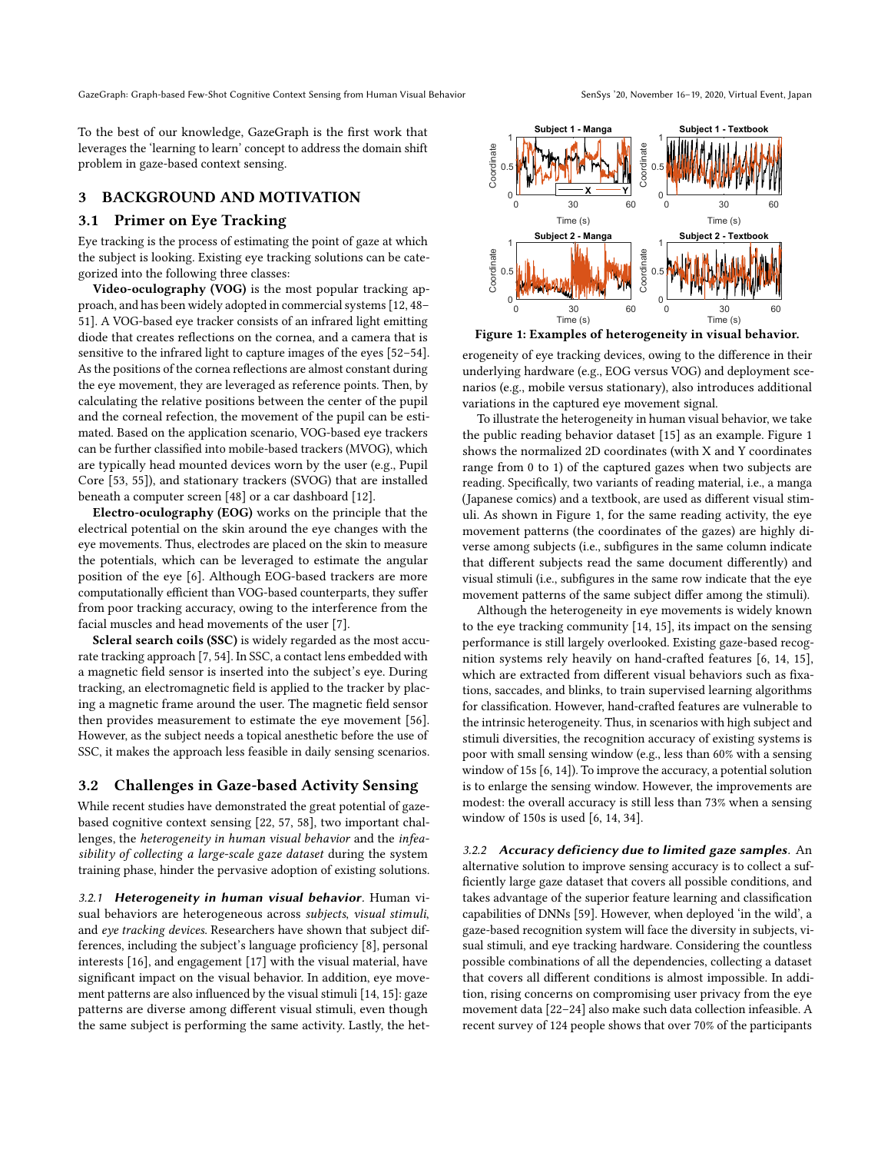GazeGraph: Graph-based Few-Shot Cognitive Context Sensing from Human Visual Behavior SenSys '20, November 16-19, 2020, Virtual Event, Japan

To the best of our knowledge, GazeGraph is the first work that leverages the 'learning to learn' concept to address the domain shift problem in gaze-based context sensing.

# <span id="page-2-1"></span>3 BACKGROUND AND MOTIVATION

# 3.1 Primer on Eye Tracking

Eye tracking is the process of estimating the point of gaze at which the subject is looking. Existing eye tracking solutions can be categorized into the following three classes:

Video-oculography (VOG) is the most popular tracking approach, and has been widely adopted in commercial systems [\[12,](#page-12-7) [48–](#page-12-44) [51\]](#page-12-45). A VOG-based eye tracker consists of an infrared light emitting diode that creates reflections on the cornea, and a camera that is sensitive to the infrared light to capture images of the eyes [\[52](#page-12-46)[–54\]](#page-12-47). As the positions of the cornea reflections are almost constant during the eye movement, they are leveraged as reference points. Then, by calculating the relative positions between the center of the pupil and the corneal refection, the movement of the pupil can be estimated. Based on the application scenario, VOG-based eye trackers can be further classified into mobile-based trackers (MVOG), which are typically head mounted devices worn by the user (e.g., Pupil Core [\[53,](#page-12-48) [55\]](#page-12-49)), and stationary trackers (SVOG) that are installed beneath a computer screen [\[48\]](#page-12-44) or a car dashboard [\[12\]](#page-12-7).

Electro-oculography (EOG) works on the principle that the electrical potential on the skin around the eye changes with the eye movements. Thus, electrodes are placed on the skin to measure the potentials, which can be leveraged to estimate the angular position of the eye [\[6\]](#page-12-26). Although EOG-based trackers are more computationally efficient than VOG-based counterparts, they suffer from poor tracking accuracy, owing to the interference from the facial muscles and head movements of the user [\[7\]](#page-12-29).

Scleral search coils (SSC) is widely regarded as the most accurate tracking approach [\[7,](#page-12-29) [54\]](#page-12-47). In SSC, a contact lens embedded with a magnetic field sensor is inserted into the subject's eye. During tracking, an electromagnetic field is applied to the tracker by placing a magnetic frame around the user. The magnetic field sensor then provides measurement to estimate the eye movement [\[56\]](#page-12-50). However, as the subject needs a topical anesthetic before the use of SSC, it makes the approach less feasible in daily sensing scenarios.

### <span id="page-2-2"></span>3.2 Challenges in Gaze-based Activity Sensing

While recent studies have demonstrated the great potential of gazebased cognitive context sensing [\[22,](#page-12-19) [57,](#page-12-51) [58\]](#page-12-52), two important challenges, the heterogeneity in human visual behavior and the infeasibility of collecting a large-scale gaze dataset during the system training phase, hinder the pervasive adoption of existing solutions.

3.2.1 Heterogeneity in human visual behavior. Human visual behaviors are heterogeneous across subjects, visual stimuli, and eye tracking devices. Researchers have shown that subject differences, including the subject's language proficiency [\[8\]](#page-12-12), personal interests [\[16\]](#page-12-13), and engagement [\[17\]](#page-12-14) with the visual material, have significant impact on the visual behavior. In addition, eye movement patterns are also influenced by the visual stimuli [\[14,](#page-12-9) [15\]](#page-12-10): gaze patterns are diverse among different visual stimuli, even though the same subject is performing the same activity. Lastly, the het-

<span id="page-2-3"></span>

Figure 1: Examples of heterogeneity in visual behavior.

erogeneity of eye tracking devices, owing to the difference in their underlying hardware (e.g., EOG versus VOG) and deployment scenarios (e.g., mobile versus stationary), also introduces additional variations in the captured eye movement signal.

To illustrate the heterogeneity in human visual behavior, we take the public reading behavior dataset [\[15\]](#page-12-10) as an example. Figure [1](#page-2-3) shows the normalized 2D coordinates (with X and Y coordinates range from 0 to 1) of the captured gazes when two subjects are reading. Specifically, two variants of reading material, i.e., a manga (Japanese comics) and a textbook, are used as different visual stimuli. As shown in Figure [1,](#page-2-3) for the same reading activity, the eye movement patterns (the coordinates of the gazes) are highly diverse among subjects (i.e., subfigures in the same column indicate that different subjects read the same document differently) and visual stimuli (i.e., subfigures in the same row indicate that the eye movement patterns of the same subject differ among the stimuli).

Although the heterogeneity in eye movements is widely known to the eye tracking community [\[14,](#page-12-9) [15\]](#page-12-10), its impact on the sensing performance is still largely overlooked. Existing gaze-based recognition systems rely heavily on hand-crafted features [\[6,](#page-12-26) [14,](#page-12-9) [15\]](#page-12-10), which are extracted from different visual behaviors such as fixations, saccades, and blinks, to train supervised learning algorithms for classification. However, hand-crafted features are vulnerable to the intrinsic heterogeneity. Thus, in scenarios with high subject and stimuli diversities, the recognition accuracy of existing systems is poor with small sensing window (e.g., less than 60% with a sensing window of 15s [\[6,](#page-12-26) [14\]](#page-12-9)). To improve the accuracy, a potential solution is to enlarge the sensing window. However, the improvements are modest: the overall accuracy is still less than 73% when a sensing window of 150s is used [\[6,](#page-12-26) [14,](#page-12-9) [34\]](#page-12-27).

<span id="page-2-0"></span>3.2.2 Accuracy deficiency due to limited gaze samples. An alternative solution to improve sensing accuracy is to collect a sufficiently large gaze dataset that covers all possible conditions, and takes advantage of the superior feature learning and classification capabilities of DNNs [\[59\]](#page-12-53). However, when deployed 'in the wild', a gaze-based recognition system will face the diversity in subjects, visual stimuli, and eye tracking hardware. Considering the countless possible combinations of all the dependencies, collecting a dataset that covers all different conditions is almost impossible. In addition, rising concerns on compromising user privacy from the eye movement data [\[22](#page-12-19)[–24\]](#page-12-20) also make such data collection infeasible. A recent survey of 124 people shows that over 70% of the participants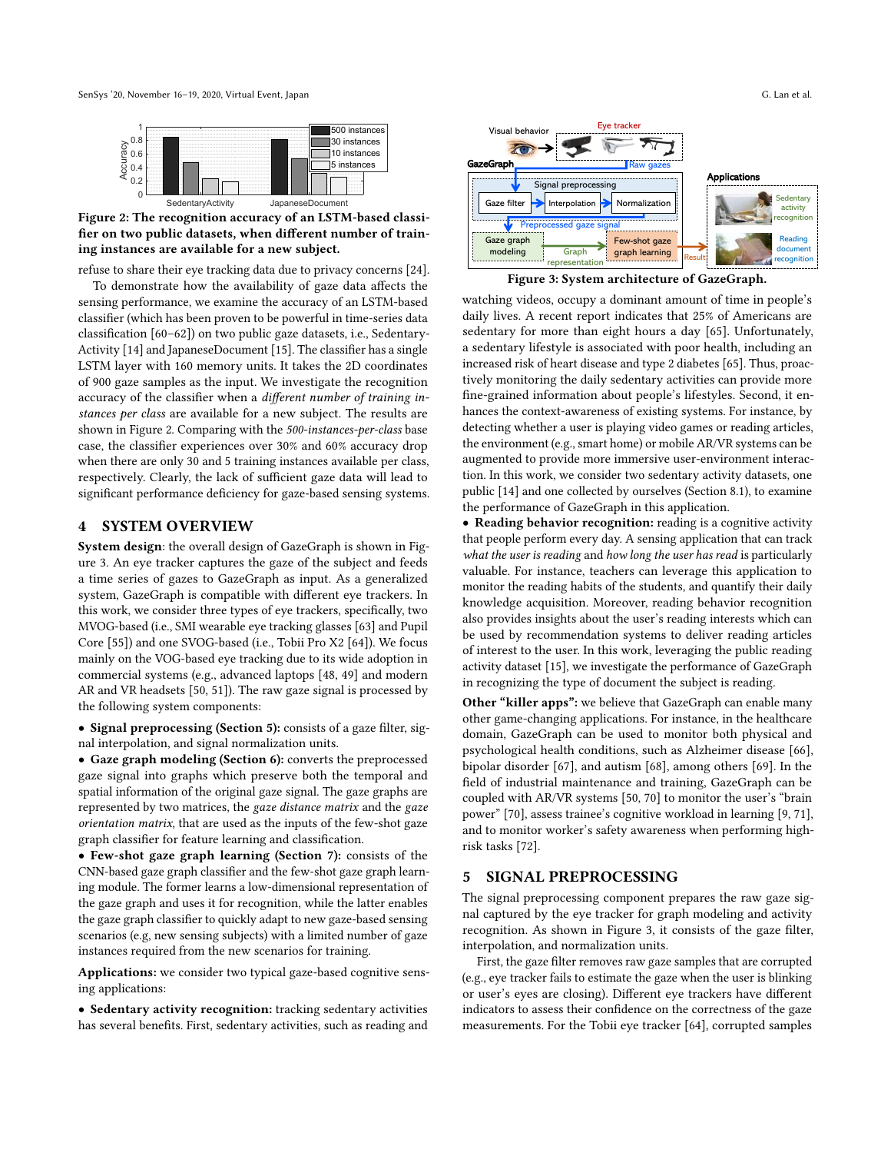<span id="page-3-2"></span>



refuse to share their eye tracking data due to privacy concerns [\[24\]](#page-12-20).

To demonstrate how the availability of gaze data affects the sensing performance, we examine the accuracy of an LSTM-based classifier (which has been proven to be powerful in time-series data classification [\[60–](#page-12-54)[62\]](#page-12-55)) on two public gaze datasets, i.e., Sedentary-Activity [\[14\]](#page-12-9) and JapaneseDocument [\[15\]](#page-12-10). The classifier has a single LSTM layer with 160 memory units. It takes the 2D coordinates of 900 gaze samples as the input. We investigate the recognition accuracy of the classifier when a different number of training instances per class are available for a new subject. The results are shown in Figure [2.](#page-3-2) Comparing with the 500-instances-per-class base case, the classifier experiences over 30% and 60% accuracy drop when there are only 30 and 5 training instances available per class, respectively. Clearly, the lack of sufficient gaze data will lead to significant performance deficiency for gaze-based sensing systems.

### <span id="page-3-0"></span>4 SYSTEM OVERVIEW

System design: the overall design of GazeGraph is shown in Figure [3.](#page-3-3) An eye tracker captures the gaze of the subject and feeds a time series of gazes to GazeGraph as input. As a generalized system, GazeGraph is compatible with different eye trackers. In this work, we consider three types of eye trackers, specifically, two MVOG-based (i.e., SMI wearable eye tracking glasses [\[63\]](#page-12-56) and Pupil Core [\[55\]](#page-12-49)) and one SVOG-based (i.e., Tobii Pro X2 [\[64\]](#page-12-57)). We focus mainly on the VOG-based eye tracking due to its wide adoption in commercial systems (e.g., advanced laptops [\[48,](#page-12-44) [49\]](#page-12-58) and modern AR and VR headsets [\[50,](#page-12-59) [51\]](#page-12-45)). The raw gaze signal is processed by the following system components:

• Signal preprocessing (Section [5\)](#page-3-1): consists of a gaze filter, signal interpolation, and signal normalization units.

• Gaze graph modeling (Section [6\)](#page-4-0): converts the preprocessed gaze signal into graphs which preserve both the temporal and spatial information of the original gaze signal. The gaze graphs are represented by two matrices, the gaze distance matrix and the gaze orientation matrix, that are used as the inputs of the few-shot gaze graph classifier for feature learning and classification.

• Few-shot gaze graph learning (Section [7\)](#page-6-2): consists of the CNN-based gaze graph classifier and the few-shot gaze graph learning module. The former learns a low-dimensional representation of the gaze graph and uses it for recognition, while the latter enables the gaze graph classifier to quickly adapt to new gaze-based sensing scenarios (e.g, new sensing subjects) with a limited number of gaze instances required from the new scenarios for training.

Applications: we consider two typical gaze-based cognitive sensing applications:

• Sedentary activity recognition: tracking sedentary activities has several benefits. First, sedentary activities, such as reading and

<span id="page-3-3"></span>

Figure 3: System architecture of GazeGraph.

watching videos, occupy a dominant amount of time in people's daily lives. A recent report indicates that 25% of Americans are sedentary for more than eight hours a day [\[65\]](#page-12-60). Unfortunately, a sedentary lifestyle is associated with poor health, including an increased risk of heart disease and type 2 diabetes [\[65\]](#page-12-60). Thus, proactively monitoring the daily sedentary activities can provide more fine-grained information about people's lifestyles. Second, it enhances the context-awareness of existing systems. For instance, by detecting whether a user is playing video games or reading articles, the environment (e.g., smart home) or mobile AR/VR systems can be augmented to provide more immersive user-environment interaction. In this work, we consider two sedentary activity datasets, one public [\[14\]](#page-12-9) and one collected by ourselves (Section [8.1\)](#page-7-1), to examine the performance of GazeGraph in this application.

• Reading behavior recognition: reading is a cognitive activity that people perform every day. A sensing application that can track what the user is reading and how long the user has read is particularly valuable. For instance, teachers can leverage this application to monitor the reading habits of the students, and quantify their daily knowledge acquisition. Moreover, reading behavior recognition also provides insights about the user's reading interests which can be used by recommendation systems to deliver reading articles of interest to the user. In this work, leveraging the public reading activity dataset [\[15\]](#page-12-10), we investigate the performance of GazeGraph in recognizing the type of document the subject is reading.

Other "killer apps": we believe that GazeGraph can enable many other game-changing applications. For instance, in the healthcare domain, GazeGraph can be used to monitor both physical and psychological health conditions, such as Alzheimer disease [\[66\]](#page-12-61), bipolar disorder [\[67\]](#page-13-1), and autism [\[68\]](#page-13-2), among others [\[69\]](#page-13-3). In the field of industrial maintenance and training, GazeGraph can be coupled with AR/VR systems [\[50,](#page-12-59) [70\]](#page-13-4) to monitor the user's "brain power" [\[70\]](#page-13-4), assess trainee's cognitive workload in learning [\[9,](#page-12-11) [71\]](#page-13-5), and to monitor worker's safety awareness when performing highrisk tasks [\[72\]](#page-13-6).

# <span id="page-3-1"></span>5 SIGNAL PREPROCESSING

The signal preprocessing component prepares the raw gaze signal captured by the eye tracker for graph modeling and activity recognition. As shown in Figure [3,](#page-3-3) it consists of the gaze filter, interpolation, and normalization units.

First, the gaze filter removes raw gaze samples that are corrupted (e.g., eye tracker fails to estimate the gaze when the user is blinking or user's eyes are closing). Different eye trackers have different indicators to assess their confidence on the correctness of the gaze measurements. For the Tobii eye tracker [\[64\]](#page-12-57), corrupted samples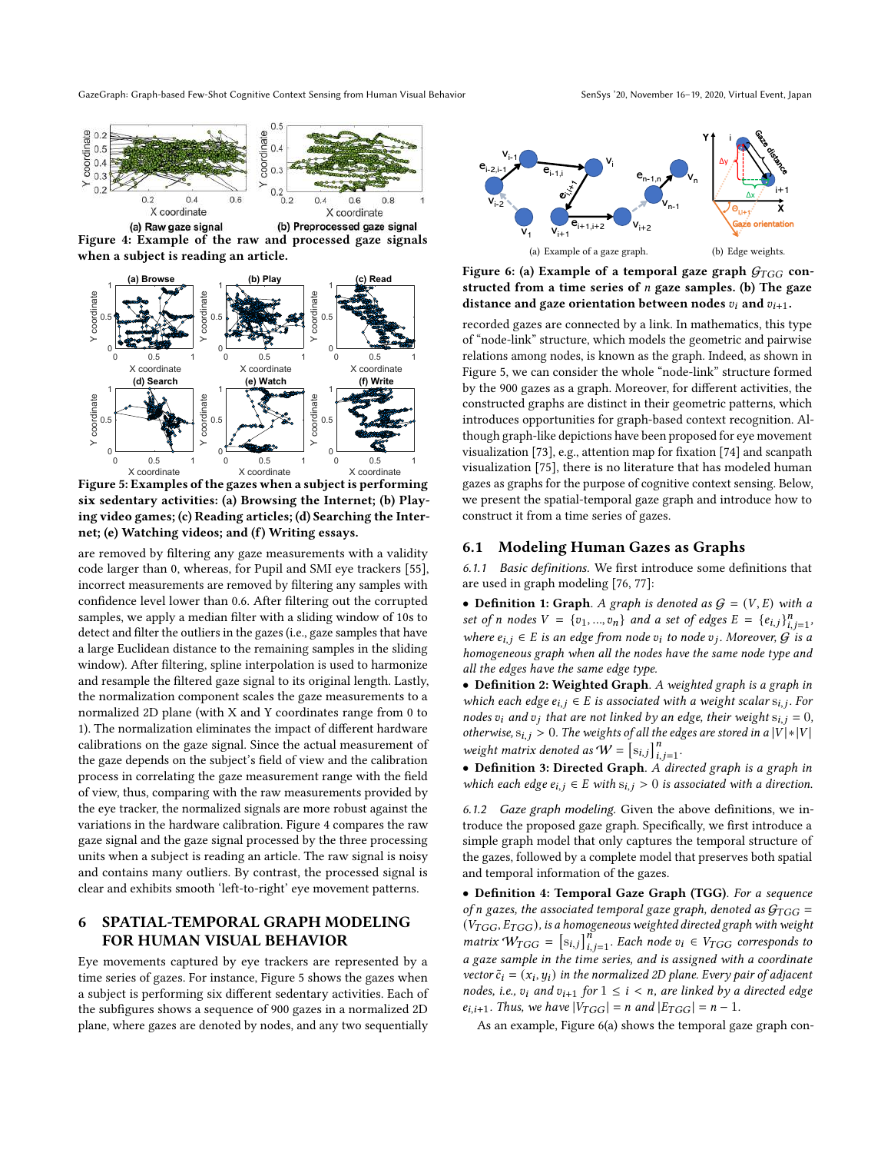GazeGraph: Graph-based Few-Shot Cognitive Context Sensing from Human Visual Behavior

<span id="page-4-1"></span>

Figure 4: Example of the raw and processed gaze signals when a subject is reading an article.

<span id="page-4-2"></span>

Figure 5: Examples of the gazes when a subject is performing six sedentary activities: (a) Browsing the Internet; (b) Playing video games; (c) Reading articles; (d) Searching the Internet; (e) Watching videos; and (f) Writing essays.

are removed by filtering any gaze measurements with a validity code larger than 0, whereas, for Pupil and SMI eye trackers [\[55\]](#page-12-49), incorrect measurements are removed by filtering any samples with confidence level lower than 0.6. After filtering out the corrupted samples, we apply a median filter with a sliding window of 10s to detect and filter the outliers in the gazes (i.e., gaze samples that have a large Euclidean distance to the remaining samples in the sliding window). After filtering, spline interpolation is used to harmonize and resample the filtered gaze signal to its original length. Lastly, the normalization component scales the gaze measurements to a normalized 2D plane (with X and Y coordinates range from 0 to 1). The normalization eliminates the impact of different hardware calibrations on the gaze signal. Since the actual measurement of the gaze depends on the subject's field of view and the calibration process in correlating the gaze measurement range with the field of view, thus, comparing with the raw measurements provided by the eye tracker, the normalized signals are more robust against the variations in the hardware calibration. Figure [4](#page-4-1) compares the raw gaze signal and the gaze signal processed by the three processing units when a subject is reading an article. The raw signal is noisy and contains many outliers. By contrast, the processed signal is clear and exhibits smooth 'left-to-right' eye movement patterns.

# <span id="page-4-0"></span>6 SPATIAL-TEMPORAL GRAPH MODELING FOR HUMAN VISUAL BEHAVIOR

Eye movements captured by eye trackers are represented by a time series of gazes. For instance, Figure [5](#page-4-2) shows the gazes when a subject is performing six different sedentary activities. Each of the subfigures shows a sequence of 900 gazes in a normalized 2D plane, where gazes are denoted by nodes, and any two sequentially

<span id="page-4-3"></span>

distance and gaze orientation between nodes  $v_i$  and  $v_{i+1}$ . structed from a time series of  $n$  gaze samples. (b) The gaze Figure 6: (a) Example of a temporal gaze graph  $\mathcal{G}_{TGG}$  con-

**1/29** though graph-like depictions have been proposed for eye movement Figure [5,](#page-4-2) we can consider the whole "node-link" structure formed recorded gazes are connected by a link. In mathematics, this type of "node-link" structure, which models the geometric and pairwise relations among nodes, is known as the graph. Indeed, as shown in by the 900 gazes as a graph. Moreover, for different activities, the constructed graphs are distinct in their geometric patterns, which introduces opportunities for graph-based context recognition. Alvisualization [\[73\]](#page-13-7), e.g., attention map for fixation [\[74\]](#page-13-8) and scanpath visualization [\[75\]](#page-13-9), there is no literature that has modeled human gazes as graphs for the purpose of cognitive context sensing. Below, we present the spatial-temporal gaze graph and introduce how to construct it from a time series of gazes.

### 6.1 Modeling Human Gazes as Graphs

6.1.1 Basic definitions. We first introduce some definitions that are used in graph modeling [\[76,](#page-13-10) [77\]](#page-13-11):

• Definition 1: Graph. A graph is denoted as  $G = (V, E)$  with a set of *n* nodes  $V = \{v_1, ..., v_n\}$  and a set of edges  $E = \{e_{i,j}\}_{i,j=1}^n$ , where  $e_{i,j} \in E$  is an edge from node  $v_i$  to node  $v_j$ . Moreover,  $\mathcal{G}$  is a homogeneous graph when all the nodes have the same node type and all the edges have the same edge type.

• Definition 2: Weighted Graph. A weighted graph is a graph in which each edge  $e_{i,j} \in E$  is associated with a weight scalar  $s_{i,j}$ . For nodes  $v_i$  and  $v_j$  that are not linked by an edge, their weight  $s_{i,j} = 0$ , otherwise,  $s_{i,j} > 0$ . The weights of all the edges are stored in a  $|V| * |V|$ weight matrix denoted as  $W = [s_{i,j}]_{i,j=1}^n$ .

• Definition 3: Directed Graph.  $A$  directed graph is a graph in which each edge  $e_{i,j} \in E$  with  $s_{i,j} > 0$  is associated with a direction.

6.1.2 Gaze graph modeling. Given the above definitions, we introduce the proposed gaze graph. Specifically, we first introduce a simple graph model that only captures the temporal structure of the gazes, followed by a complete model that preserves both spatial and temporal information of the gazes.

• Definition 4: Temporal Gaze Graph (TGG). For a sequence of n gazes, the associated temporal gaze graph, denoted as  $G_{TGG} =$  $(V_{TGG}, E_{TGG})$ , is a homogeneous weighted directed graph with weight matrix  $W_{TGG} = [s_{i,j}]_{i,j=1}^{n}$ . Each node  $v_i \in V_{TGG}$  corresponds to a gaze sample in the time series, and is assigned with a coordinate vector  $\tilde{c}_i = (x_i, y_i)$  in the normalized 2D plane. Every pair of adjacent nodes, i.e.,  $v_i$  and  $v_{i+1}$  for  $1 \leq i < n$ , are linked by a directed edge  $e_{i,i+1}$ . Thus, we have  $|V_{TGG}| = n$  and  $|E_{TGG}| = n - 1$ .

As an example, Figure [6\(](#page-4-3)a) shows the temporal gaze graph con-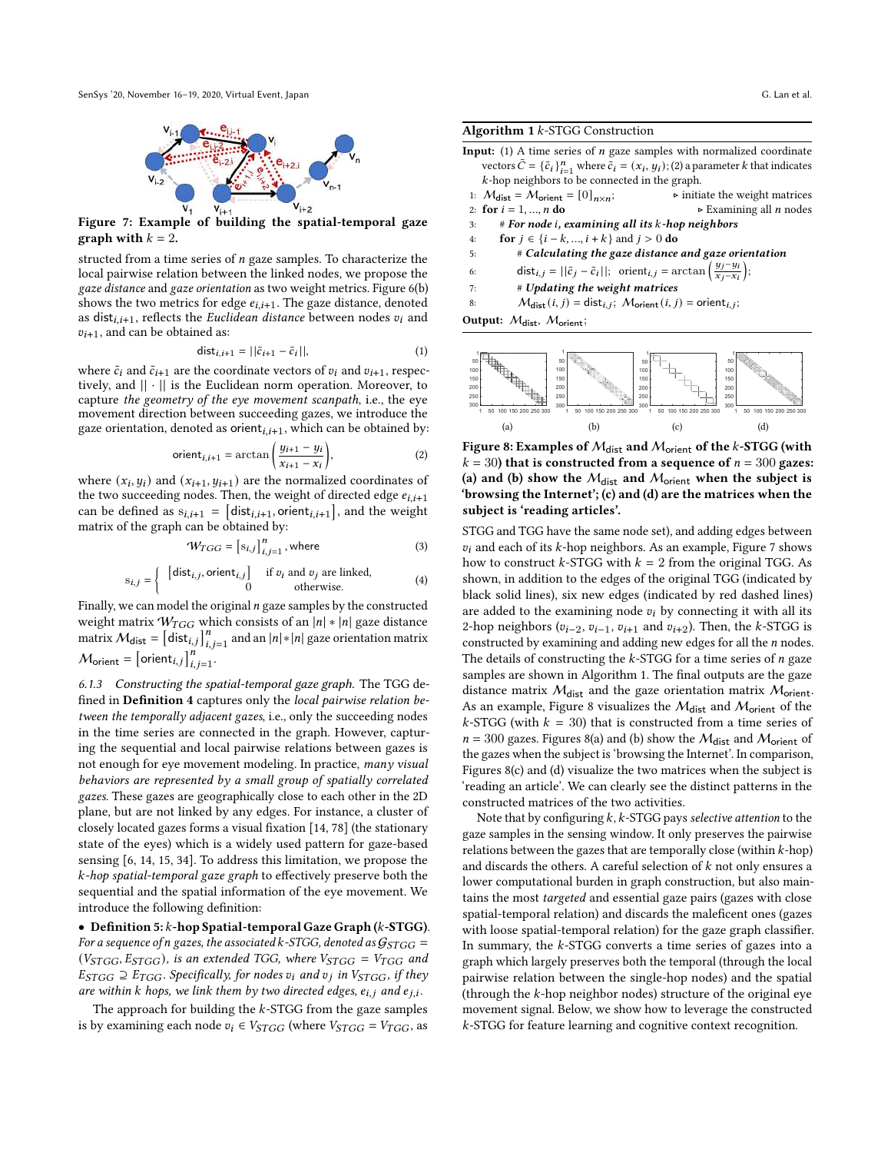<span id="page-5-0"></span>

Figure 7: Example of building the spatial-temporal gaze graph with  $k = 2$ .

structed from a time series of  $n$  gaze samples. To characterize the local pairwise relation between the linked nodes, we propose the gaze distance and gaze orientation as two weight metrics. Figure [6\(](#page-4-3)b) shows the two metrics for edge  $e_{i,i+1}$ . The gaze distance, denoted as dist<sub>i,i+1</sub>, reflects the *Euclidean distance* between nodes  $v_i$  and  $v_{i+1}$ , and can be obtained as:

$$
\mathsf{dist}_{i,i+1} = ||\tilde{c}_{i+1} - \tilde{c}_i||,\tag{1}
$$

where  $\tilde{c}_i$  and  $\tilde{c}_{i+1}$  are the coordinate vectors of  $v_i$  and  $v_{i+1}$ , respectively, and || · || is the Euclidean norm operation. Moreover, to capture the geometry of the eye movement scanpath, i.e., the eye movement direction between succeeding gazes, we introduce the gaze orientation, denoted as orient $_{i,i+1}$ , which can be obtained by:

$$
\text{orient}_{i,i+1} = \arctan\left(\frac{y_{i+1} - y_i}{x_{i+1} - x_i}\right),\tag{2}
$$

where  $(x_i, y_i)$  and  $(x_{i+1}, y_{i+1})$  are the normalized coordinates of the two succeeding nodes. Then, the weight of directed edge  $e_{i,i+1}$ can be defined as  $s_{i,i+1} = [\text{dist}_{i,i+1}, \text{orient}_{i,i+1}],$  and the weight matrix of the graph can be obtained by:

$$
\mathcal{W}_{TGG} = [s_{i,j}]_{i,j=1}^n, \text{where} \tag{3}
$$

$$
\mathbf{s}_{i,j} = \begin{cases}\n\begin{bmatrix}\n\text{dist}_{i,j},\text{orient}_{i,j}\n\end{bmatrix} & \text{if } v_i \text{ and } v_j \text{ are linked,} \\
0 & \text{otherwise.}\n\end{cases} \tag{4}
$$

Finally, we can model the original  $n$  gaze samples by the constructed weight matrix  $W_{TGG}$  which consists of an  $|n| * |n|$  gaze distance matrix  $M_{\text{dist}} = \left[\text{dist}_{i,j}\right]_{i,j=1}^n$  and an  $|n| * |n|$  gaze orientation matrix  $M_{\text{orient}} = \left[\text{orient}_{i,j}\right]_{i,j=1}^n$ .

<span id="page-5-4"></span>6.1.3 Constructing the spatial-temporal gaze graph. The TGG defined in Definition 4 captures only the local pairwise relation between the temporally adjacent gazes, i.e., only the succeeding nodes in the time series are connected in the graph. However, capturing the sequential and local pairwise relations between gazes is not enough for eye movement modeling. In practice, many visual behaviors are represented by a small group of spatially correlated gazes. These gazes are geographically close to each other in the 2D plane, but are not linked by any edges. For instance, a cluster of closely located gazes forms a visual fixation [\[14,](#page-12-9) [78\]](#page-13-12) (the stationary state of the eyes) which is a widely used pattern for gaze-based sensing [\[6,](#page-12-26) [14,](#page-12-9) [15,](#page-12-10) [34\]](#page-12-27). To address this limitation, we propose the -hop spatial-temporal gaze graph to effectively preserve both the sequential and the spatial information of the eye movement. We introduce the following definition:

 $\bullet$  Definition 5:  $k$ -hop Spatial-temporal Gaze Graph ( $k$ -STGG). For a sequence of n gazes, the associated k-STGG, denoted as  $G_{STGG}$  =  $(V_{STGG}, E_{STGG})$ , is an extended TGG, where  $V_{STGG} = V_{TGG}$  and  $E_{STGG} \supseteq E_{TGG}$ . Specifically, for nodes  $v_i$  and  $v_j$  in  $V_{STGG}$ , if they are within k hops, we link them by two directed edges,  $e_{i,j}$  and  $e_{j,i}$ .

The approach for building the  $k$ -STGG from the gaze samples is by examining each node  $v_i \in V_{STGG}$  (where  $V_{STGG} = V_{TGG}$ , as

#### <span id="page-5-1"></span>Algorithm  $1 k$ -STGG Construction

- Input: (1) A time series of  $n$  gaze samples with normalized coordinate vectors  $\tilde{C} = {\{\tilde{c}_i\}}_{i=1}^n$  where  $\tilde{c}_i = (x_i, y_i); (2)$  a parameter  $k$  that indicates  $k$ -hop neighbors to be connected in the graph.
- 1:  $M_{\text{dist}} = M_{\text{orient}} = [0]_{n \times n}$ ;<br>
2: **for**  $i = 1, ..., n$  **do**<br>  $\triangleright$  Examining all *n* nodes
- 2: for  $i = 1, ..., n$  do  $\rightarrow$  Examining all *n* nodes
- $3:$  # For node i, examining all its  $k$ -hop neighbors
- 4: **for**  $j \in \{i k, ..., i + k\}$  and  $j > 0$  **do**

5: # Calculating the gaze distance and gaze orientation

- 6: dist<sub>i,j</sub> =  $||\tilde{c}_j \tilde{c}_i||$ ; orient<sub>i,j</sub> = arctan  $\left(\frac{y_j y_i}{x_j x_i}\right)$ ;
- $7:$   $\#$  Updating the weight matrices

8: 
$$
M_{\text{dist}}(i, j) = \text{dist}_{i,j}; \ M_{\text{orient}}(i, j) = \text{orient}_{i,j};
$$

Output: M<sub>dist</sub>, M<sub>orient</sub>;

<span id="page-5-3"></span><span id="page-5-2"></span>

Figure 8: Examples of  $\mathcal{M}_{\mathsf{dist}}$  and  $\mathcal{M}_{\mathsf{orient}}$  of the k-STGG (with  $k = 30$ ) that is constructed from a sequence of  $n = 300$  gazes: (a) and (b) show the  $M_{\text{dist}}$  and  $M_{\text{orient}}$  when the subject is 'browsing the Internet'; (c) and (d) are the matrices when the subject is 'reading articles'.

STGG and TGG have the same node set), and adding edges between  $v_i$  and each of its  $k$ -hop neighbors. As an example, Figure [7](#page-5-0) shows how to construct  $k$ -STGG with  $k = 2$  from the original TGG. As shown, in addition to the edges of the original TGG (indicated by black solid lines), six new edges (indicated by red dashed lines) are added to the examining node  $v_i$  by connecting it with all its 2-hop neighbors ( $v_{i-2}$ ,  $v_{i-1}$ ,  $v_{i+1}$  and  $v_{i+2}$ ). Then, the k-STGG is constructed by examining and adding new edges for all the  $n$  nodes. The details of constructing the  $k$ -STGG for a time series of  $n$  gaze samples are shown in Algorithm [1.](#page-5-1) The final outputs are the gaze distance matrix  $M_{\text{dist}}$  and the gaze orientation matrix  $M_{\text{orient}}$ . As an example, Figure [8](#page-5-2) visualizes the  $M_{\text{dist}}$  and  $M_{\text{orient}}$  of the  $k$ -STGG (with  $k = 30$ ) that is constructed from a time series of  $n = 300$  gazes. Figures [8\(](#page-5-2)a) and (b) show the  $M_{\text{dist}}$  and  $M_{\text{orient}}$  of the gazes when the subject is 'browsing the Internet'. In comparison, Figures [8\(](#page-5-2)c) and (d) visualize the two matrices when the subject is 'reading an article'. We can clearly see the distinct patterns in the constructed matrices of the two activities.

Note that by configuring  $k$ ,  $k$ -STGG pays selective attention to the gaze samples in the sensing window. It only preserves the pairwise relations between the gazes that are temporally close (within  $k$ -hop) and discards the others. A careful selection of  $k$  not only ensures a lower computational burden in graph construction, but also maintains the most targeted and essential gaze pairs (gazes with close spatial-temporal relation) and discards the maleficent ones (gazes with loose spatial-temporal relation) for the gaze graph classifier. In summary, the  $k$ -STGG converts a time series of gazes into a graph which largely preserves both the temporal (through the local pairwise relation between the single-hop nodes) and the spatial (through the  $k$ -hop neighbor nodes) structure of the original eye movement signal. Below, we show how to leverage the constructed -STGG for feature learning and cognitive context recognition.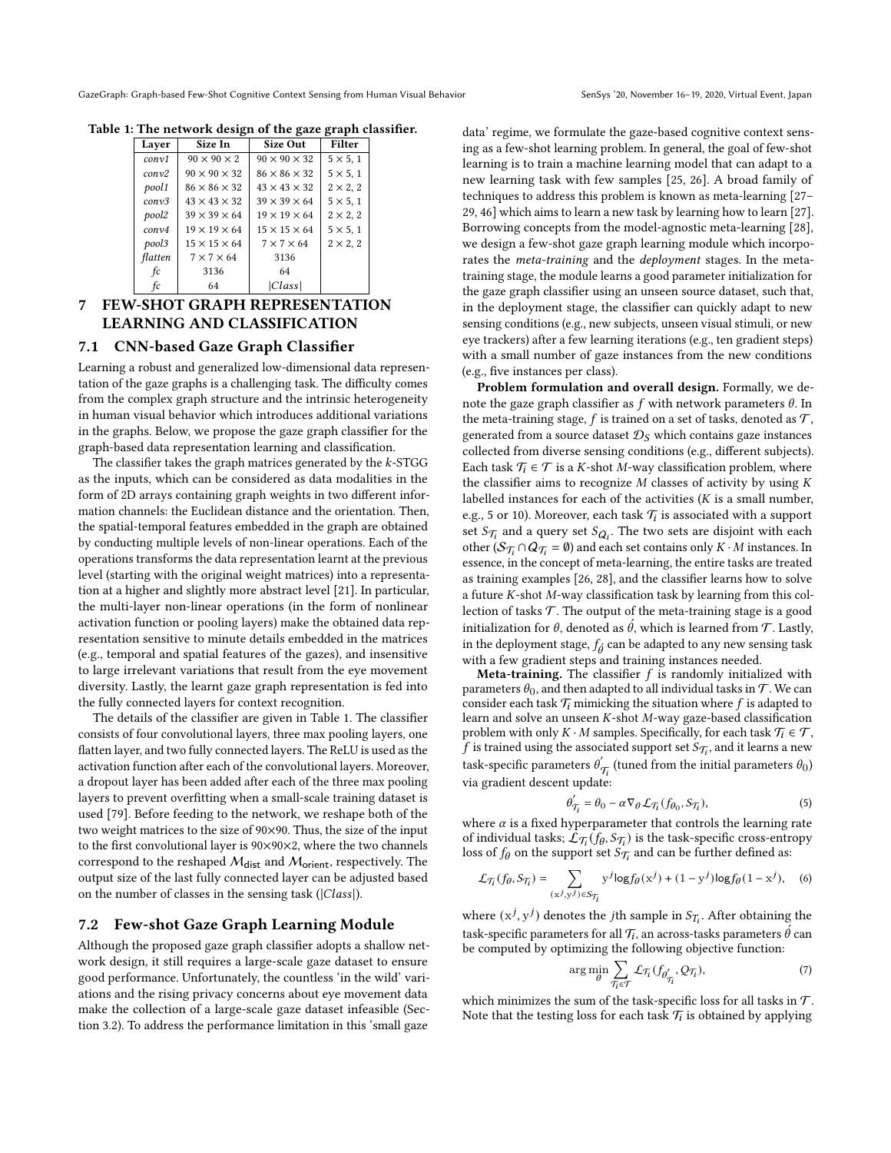<span id="page-6-3"></span>Table 1: The network design of the gaze graph classifier.

| Laver   | Size In                  | Size Out                 | Filter          |
|---------|--------------------------|--------------------------|-----------------|
| conv1   | $90 \times 90 \times 2$  | $90 \times 90 \times 32$ | $5 \times 5, 1$ |
| conv2   | $90 \times 90 \times 32$ | $86 \times 86 \times 32$ | $5 \times 5, 1$ |
| pool1   | $86 \times 86 \times 32$ | $43 \times 43 \times 32$ | $2 \times 2, 2$ |
| conv3   | $43 \times 43 \times 32$ | $39 \times 39 \times 64$ | $5 \times 5, 1$ |
| pool2   | $39 \times 39 \times 64$ | $19 \times 19 \times 64$ | $2 \times 2, 2$ |
| conv4   | $19 \times 19 \times 64$ | $15 \times 15 \times 64$ | $5 \times 5, 1$ |
| pool3   | $15 \times 15 \times 64$ | $7 \times 7 \times 64$   | $2 \times 2, 2$ |
| flatten | $7 \times 7 \times 64$   | 3136                     |                 |
| fc      | 3136                     | 64                       |                 |
| fc      | 64                       | Class                    |                 |

# <span id="page-6-2"></span>7 FEW-SHOT GRAPH REPRESENTATION LEARNING AND CLASSIFICATION

### <span id="page-6-0"></span>7.1 CNN-based Gaze Graph Classifier

Learning a robust and generalized low-dimensional data representation of the gaze graphs is a challenging task. The difficulty comes from the complex graph structure and the intrinsic heterogeneity in human visual behavior which introduces additional variations in the graphs. Below, we propose the gaze graph classifier for the graph-based data representation learning and classification.

The classifier takes the graph matrices generated by the  $k$ -STGG as the inputs, which can be considered as data modalities in the form of 2D arrays containing graph weights in two different information channels: the Euclidean distance and the orientation. Then, the spatial-temporal features embedded in the graph are obtained by conducting multiple levels of non-linear operations. Each of the operations transforms the data representation learnt at the previous level (starting with the original weight matrices) into a representation at a higher and slightly more abstract level [\[21\]](#page-12-18). In particular, the multi-layer non-linear operations (in the form of nonlinear activation function or pooling layers) make the obtained data representation sensitive to minute details embedded in the matrices (e.g., temporal and spatial features of the gazes), and insensitive to large irrelevant variations that result from the eye movement diversity. Lastly, the learnt gaze graph representation is fed into the fully connected layers for context recognition.

The details of the classifier are given in Table [1.](#page-6-3) The classifier consists of four convolutional layers, three max pooling layers, one flatten layer, and two fully connected layers. The ReLU is used as the activation function after each of the convolutional layers. Moreover, a dropout layer has been added after each of the three max pooling layers to prevent overfitting when a small-scale training dataset is used [\[79\]](#page-13-13). Before feeding to the network, we reshape both of the two weight matrices to the size of 90×90. Thus, the size of the input to the first convolutional layer is 90×90×2, where the two channels correspond to the reshaped  $\mathcal{M}_{\mathsf{dist}}$  and  $\mathcal{M}_{\mathsf{orient}}$ , respectively. The output size of the last fully connected layer can be adjusted based on the number of classes in the sensing task ( $|Class|$ ).

### <span id="page-6-1"></span>7.2 Few-shot Gaze Graph Learning Module

Although the proposed gaze graph classifier adopts a shallow network design, it still requires a large-scale gaze dataset to ensure good performance. Unfortunately, the countless 'in the wild' variations and the rising privacy concerns about eye movement data make the collection of a large-scale gaze dataset infeasible (Section [3.2\)](#page-2-2). To address the performance limitation in this 'small gaze

data' regime, we formulate the gaze-based cognitive context sensing as a few-shot learning problem. In general, the goal of few-shot learning is to train a machine learning model that can adapt to a new learning task with few samples [\[25,](#page-12-21) [26\]](#page-12-22). A broad family of techniques to address this problem is known as meta-learning [\[27–](#page-12-43) [29,](#page-12-62) [46\]](#page-12-40) which aims to learn a new task by learning how to learn [\[27\]](#page-12-43). Borrowing concepts from the model-agnostic meta-learning [\[28\]](#page-12-42), we design a few-shot gaze graph learning module which incorporates the meta-training and the deployment stages. In the metatraining stage, the module learns a good parameter initialization for the gaze graph classifier using an unseen source dataset, such that, in the deployment stage, the classifier can quickly adapt to new sensing conditions (e.g., new subjects, unseen visual stimuli, or new eye trackers) after a few learning iterations (e.g., ten gradient steps) with a small number of gaze instances from the new conditions (e.g., five instances per class).

Problem formulation and overall design. Formally, we denote the gaze graph classifier as  $f$  with network parameters  $\theta$ . In the meta-training stage,  $f$  is trained on a set of tasks, denoted as  $\mathcal{T}$ , generated from a source dataset  $\mathcal{D}_S$  which contains gaze instances collected from diverse sensing conditions (e.g., different subjects). Each task  $\mathcal{T}_i \in \mathcal{T}$  is a K-shot M-way classification problem, where the classifier aims to recognize  $M$  classes of activity by using  $K$ labelled instances for each of the activities  $(K$  is a small number, e.g., 5 or 10). Moreover, each task  $\mathcal{T}_i$  is associated with a support set  $S_{\mathcal{T}_i}$  and a query set  $S_{\mathcal{Q}_i}$ . The two sets are disjoint with each other  $(S_{\mathcal{T}_i} \cap Q_{\mathcal{T}_i} = \emptyset)$  and each set contains only  $K \cdot M$  instances. In essence, in the concept of meta-learning, the entire tasks are treated as training examples [\[26,](#page-12-22) [28\]](#page-12-42), and the classifier learns how to solve a future  $K$ -shot  $M$ -way classification task by learning from this collection of tasks  $\mathcal T$ . The output of the meta-training stage is a good initialization for  $\theta$ , denoted as  $\dot{\theta}$ , which is learned from  $\mathcal{T}$ . Lastly, in the deployment stage,  $f_{\hat{\theta}}$  can be adapted to any new sensing task with a few gradient steps and training instances needed.

**Meta-training.** The classifier  $f$  is randomly initialized with parameters  $\theta_0$ , and then adapted to all individual tasks in  $\mathcal T$ . We can consider each task  $T_i$  mimicking the situation where  $f$  is adapted to learn and solve an unseen  $K$ -shot  $M$ -way gaze-based classification problem with only  $K \cdot M$  samples. Specifically, for each task  $\mathcal{T}_i \in \mathcal{T}$ ,  $\hat{f}$  is trained using the associated support set  $\hat{S}_{\mathcal{T}_i}$ , and it learns a new task-specific parameters  $\theta_{c}^{'}$  $\frac{1}{\sqrt{t}}$  (tuned from the initial parameters  $\theta_0$ ) via gradient descent update:

$$
\theta'_{\mathcal{T}_i} = \theta_0 - \alpha \nabla_{\theta} \mathcal{L}_{\mathcal{T}_i}(f_{\theta_0}, S_{\mathcal{T}_i}),\tag{5}
$$

where  $\alpha$  is a fixed hyperparameter that controls the learning rate of individual tasks;  $\mathcal{L}_{\mathcal{T}_i}(f_\theta, S_{\mathcal{T}_i})$  is the task-specific cross-entropy loss of  $f_\theta$  on the support set  $S_{\mathcal{T}_i}$  and can be further defined as:

$$
\mathcal{L}_{\mathcal{T}_i}(f_{\theta}, S_{\mathcal{T}_i}) = \sum_{(\mathbf{x}^j, \mathbf{y}^j) \in S_{\mathcal{T}_i}} \mathbf{y}^j \log f_{\theta}(\mathbf{x}^j) + (1 - \mathbf{y}^j) \log f_{\theta} (1 - \mathbf{x}^j), \quad (6)
$$

where  $(x^j, y^j)$  denotes the *j*th sample in  $S_{T_i}$ . After obtaining the task-specific parameters for all  $\mathcal{T}_i$ , an across-tasks parameters  $\acute{\theta}$  can be computed by optimizing the following objective function:

$$
\arg\min_{\theta} \sum_{\mathcal{T}_i \in \mathcal{T}} \mathcal{L}_{\mathcal{T}_i}(f_{\theta_{\mathcal{T}_i}'}', \mathcal{Q}_{\mathcal{T}_i}),\tag{7}
$$

which minimizes the sum of the task-specific loss for all tasks in  $\mathcal T$ . Note that the testing loss for each task  $\mathcal{T}_i$  is obtained by applying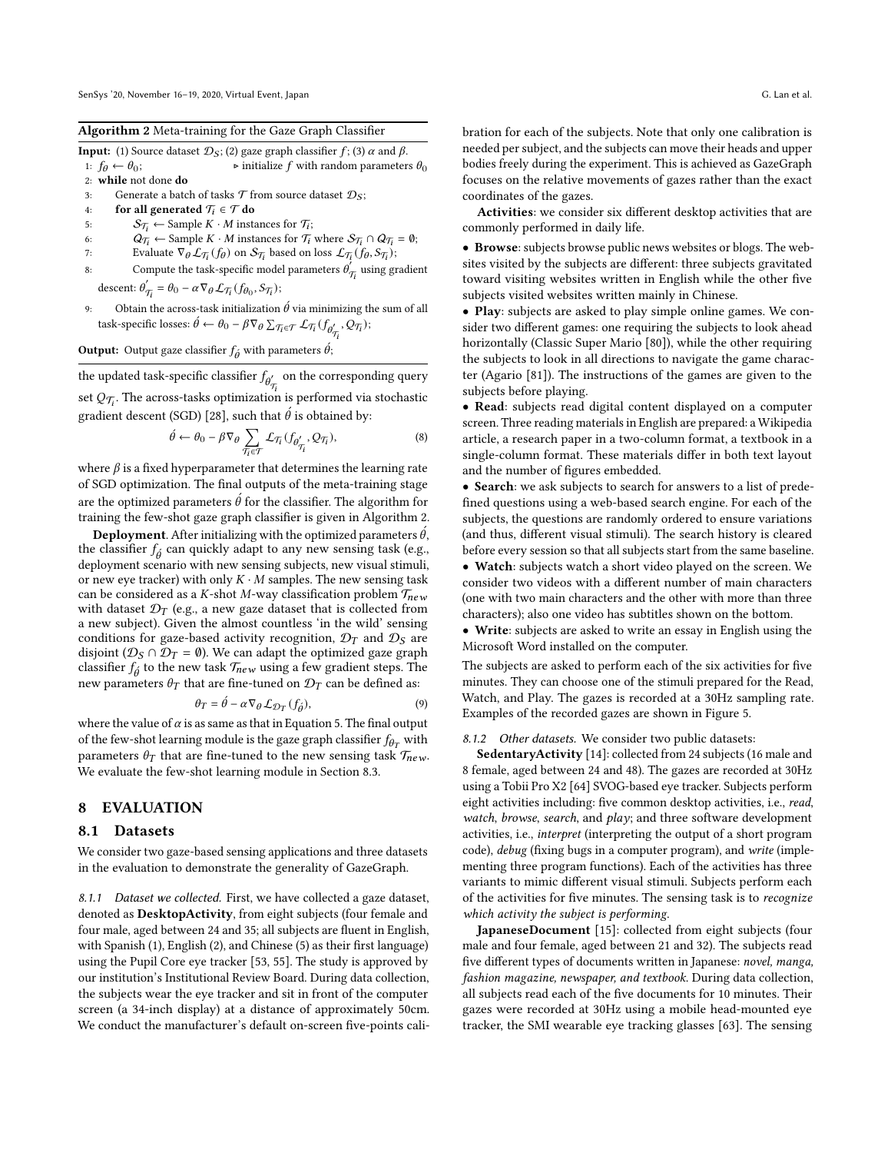#### <span id="page-7-2"></span>Algorithm 2 Meta-training for the Gaze Graph Classifier

**Input:** (1) Source dataset  $\mathcal{D}_S$ ; (2) gaze graph classifier  $f$ ; (3)  $\alpha$  and  $\beta$ . 1:  $f_{\theta} \leftarrow \theta_0$ ;  $\triangleright$  initialize f with random parameters  $\theta_0$ 2: while not done do

- 3: Generate a batch of tasks  $T$  from source dataset  $\mathcal{D}_S$ ;
- 4: for all generated  $\mathcal{T}_i \in \mathcal{T}$  do
- 5:  $S_{\mathcal{T}_i} \leftarrow$  Sample  $K \cdot M$  instances for  $\mathcal{T}_i$ ;
- 6:  $Q_{\mathcal{T}_i}$  ← Sample  $K \cdot M$  instances for  $\mathcal{T}_i$  where  $\mathcal{S}_{\mathcal{T}_i} \cap Q_{\mathcal{T}_i} = \emptyset$ ;
- 7: Evaluate  $\nabla_{\theta} \mathcal{L}_{\mathcal{T}_i}(f_{\theta})$  on  $\mathcal{S}_{\mathcal{T}_i}$  based on loss  $\mathcal{L}_{\mathcal{T}_i}(f_{\theta}, S_{\mathcal{T}_i})$ ;
- 8: Compute the task-specific model parameters  $\vec{\theta'_{T_i}}$  using gradient descent:  $\theta'_{\mathcal{T}_i} = \theta_0 - \alpha \nabla_{\theta} \mathcal{L}_{\mathcal{T}_i}(f_{\theta_0}, S_{\mathcal{T}_i});$
- 9: Obtain the across-task initialization  $\acute{\theta}$  via minimizing the sum of all task-specific losses:  $\acute{\theta} \leftarrow \theta_0 - \beta \nabla_{\theta} \sum_{\mathcal{T}_i \in \mathcal{T}} \mathcal{L}_{\mathcal{T}_i}(f_{\theta_{\mathcal{T}_i}^{'}},\mathcal{Q}_{\mathcal{T}_i});$

**Output:** Output gaze classifier  $f_{\vec{\theta}}$  with parameters  $\vec{\theta}$ ;

the updated task-specific classifier  $f_{\theta_{\mathcal{T}_i}^{\prime}}$  on the corresponding query set  $Q_{\mathcal{T}_i}$ . The across-tasks optimization is performed via stochastic gradient descent (SGD) [\[28\]](#page-12-42), such that  $\hat{\theta}$  is obtained by:

$$
\acute{\theta} \leftarrow \theta_0 - \beta \nabla_{\theta} \sum_{\mathcal{T}_{\bar{t}} \in \mathcal{T}} \mathcal{L}_{\mathcal{T}_{\bar{t}}} (f_{\theta_{\mathcal{T}_{\bar{t}}}'}, \mathcal{Q}_{\mathcal{T}_{\bar{t}}}), \tag{8}
$$

where  $\beta$  is a fixed hyperparameter that determines the learning rate of SGD optimization. The final outputs of the meta-training stage are the optimized parameters  $\hat{\theta}$  for the classifier. The algorithm for training the few-shot gaze graph classifier is given in Algorithm [2.](#page-7-2)

**Deployment**. After initializing with the optimized parameters  $\hat{\theta}$ , the classifier  $f_{\hat{\theta}}$  can quickly adapt to any new sensing task (e.g., deployment scenario with new sensing subjects, new visual stimuli, or new eye tracker) with only  $K \cdot M$  samples. The new sensing task can be considered as a K-shot M-way classification problem  $T_{new}$ with dataset  $\mathcal{D}_T$  (e.g., a new gaze dataset that is collected from a new subject). Given the almost countless 'in the wild' sensing conditions for gaze-based activity recognition,  $\mathcal{D}_T$  and  $\mathcal{D}_S$  are disjoint ( $\mathcal{D}_S \cap \mathcal{D}_T = \emptyset$ ). We can adapt the optimized gaze graph classifier  $f_{\hat{\theta}}$  to the new task  $\mathcal{T}_{new}$  using a few gradient steps. The new parameters  $\theta_T$  that are fine-tuned on  $\mathcal{D}_T$  can be defined as:

$$
\theta_T = \acute{\theta} - \alpha \nabla_{\theta} \mathcal{L}_{\mathcal{D}_T}(f_{\acute{\theta}}),\tag{9}
$$

where the value of  $\alpha$  is as same as that in Equation 5. The final output of the few-shot learning module is the gaze graph classifier  $f_{\theta_T}$  with parameters  $\theta_T$  that are fine-tuned to the new sensing task  $\mathcal{T}_{new}$ . We evaluate the few-shot learning module in Section [8.3.](#page-9-0)

# <span id="page-7-0"></span>8 EVALUATION

### <span id="page-7-1"></span>8.1 Datasets

We consider two gaze-based sensing applications and three datasets in the evaluation to demonstrate the generality of GazeGraph.

8.1.1 Dataset we collected. First, we have collected a gaze dataset, denoted as DesktopActivity, from eight subjects (four female and four male, aged between 24 and 35; all subjects are fluent in English, with Spanish (1), English (2), and Chinese (5) as their first language) using the Pupil Core eye tracker [\[53,](#page-12-48) [55\]](#page-12-49). The study is approved by our institution's Institutional Review Board. During data collection, the subjects wear the eye tracker and sit in front of the computer screen (a 34-inch display) at a distance of approximately 50cm. We conduct the manufacturer's default on-screen five-points calibration for each of the subjects. Note that only one calibration is needed per subject, and the subjects can move their heads and upper bodies freely during the experiment. This is achieved as GazeGraph focuses on the relative movements of gazes rather than the exact coordinates of the gazes.

Activities: we consider six different desktop activities that are commonly performed in daily life.

• Browse: subjects browse public news websites or blogs. The websites visited by the subjects are different: three subjects gravitated toward visiting websites written in English while the other five subjects visited websites written mainly in Chinese.

• Play: subjects are asked to play simple online games. We consider two different games: one requiring the subjects to look ahead horizontally (Classic Super Mario [\[80\]](#page-13-14)), while the other requiring the subjects to look in all directions to navigate the game character (Agario [\[81\]](#page-13-15)). The instructions of the games are given to the subjects before playing.

• Read: subjects read digital content displayed on a computer screen. Three reading materials in English are prepared: a Wikipedia article, a research paper in a two-column format, a textbook in a single-column format. These materials differ in both text layout and the number of figures embedded.

• Search: we ask subjects to search for answers to a list of predefined questions using a web-based search engine. For each of the subjects, the questions are randomly ordered to ensure variations (and thus, different visual stimuli). The search history is cleared before every session so that all subjects start from the same baseline.

• Watch: subjects watch a short video played on the screen. We consider two videos with a different number of main characters (one with two main characters and the other with more than three characters); also one video has subtitles shown on the bottom.

• Write: subjects are asked to write an essay in English using the Microsoft Word installed on the computer.

The subjects are asked to perform each of the six activities for five minutes. They can choose one of the stimuli prepared for the Read, Watch, and Play. The gazes is recorded at a 30Hz sampling rate. Examples of the recorded gazes are shown in Figure [5.](#page-4-2)

#### 8.1.2 Other datasets. We consider two public datasets:

SedentaryActivity [\[14\]](#page-12-9): collected from 24 subjects (16 male and 8 female, aged between 24 and 48). The gazes are recorded at 30Hz using a Tobii Pro X2 [\[64\]](#page-12-57) SVOG-based eye tracker. Subjects perform eight activities including: five common desktop activities, i.e., read, watch, browse, search, and play; and three software development activities, i.e., interpret (interpreting the output of a short program code), debug (fixing bugs in a computer program), and write (implementing three program functions). Each of the activities has three variants to mimic different visual stimuli. Subjects perform each of the activities for five minutes. The sensing task is to recognize which activity the subject is performing.

JapaneseDocument [\[15\]](#page-12-10): collected from eight subjects (four male and four female, aged between 21 and 32). The subjects read five different types of documents written in Japanese: novel, manga, fashion magazine, newspaper, and textbook. During data collection, all subjects read each of the five documents for 10 minutes. Their gazes were recorded at 30Hz using a mobile head-mounted eye tracker, the SMI wearable eye tracking glasses [\[63\]](#page-12-56). The sensing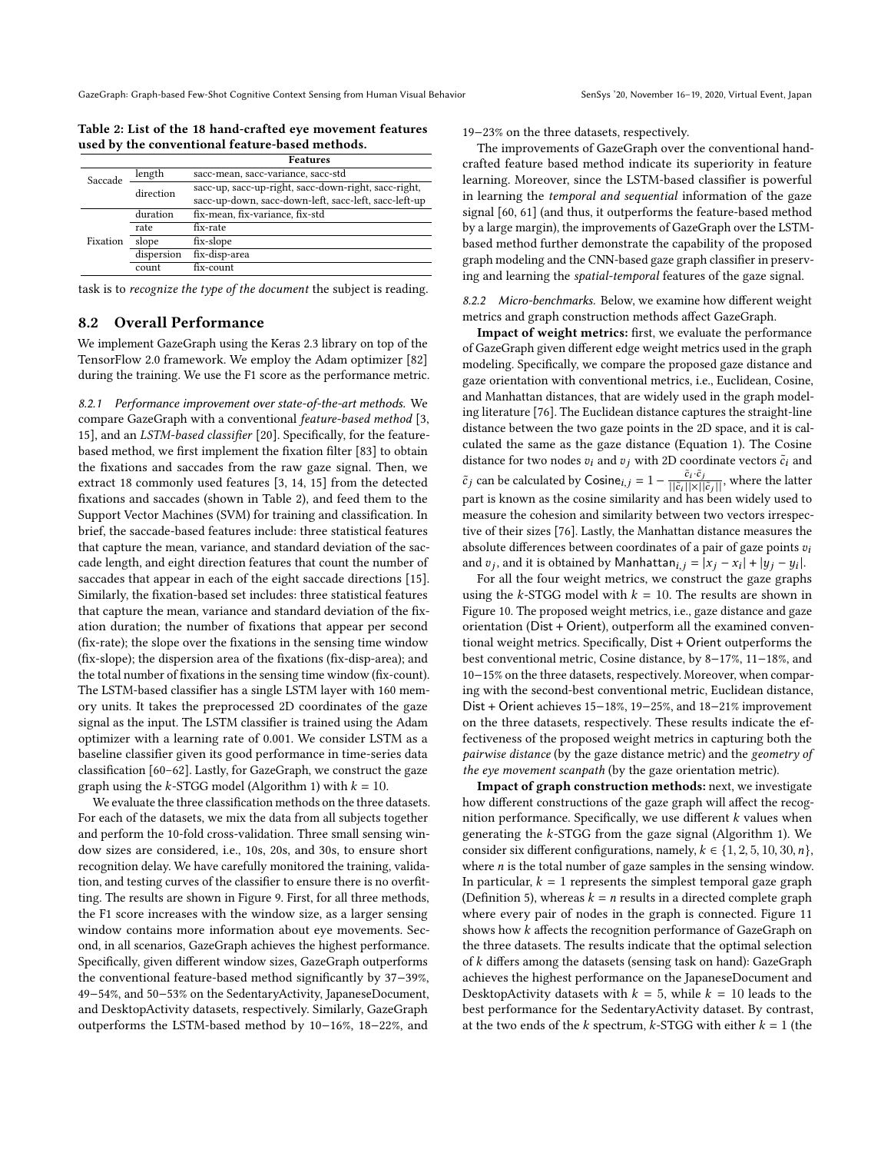<span id="page-8-0"></span>

| Table 2: List of the 18 hand-crafted eye movement features |
|------------------------------------------------------------|
| used by the conventional feature-based methods.            |

|          |            | <b>Features</b>                                       |  |  |
|----------|------------|-------------------------------------------------------|--|--|
| Saccade  | length     | sacc-mean, sacc-variance, sacc-std                    |  |  |
|          | direction  | sacc-up, sacc-up-right, sacc-down-right, sacc-right,  |  |  |
|          |            | sacc-up-down, sacc-down-left, sacc-left, sacc-left-up |  |  |
| Fixation | duration   | fix-mean, fix-variance, fix-std                       |  |  |
|          | rate       | fix-rate                                              |  |  |
|          | slope      | fix-slope                                             |  |  |
|          | dispersion | fix-disp-area                                         |  |  |
|          | count      | fix-count                                             |  |  |

task is to recognize the type of the document the subject is reading.

# 8.2 Overall Performance

We implement GazeGraph using the Keras 2.3 library on top of the TensorFlow 2.0 framework. We employ the Adam optimizer [\[82\]](#page-13-16) during the training. We use the F1 score as the performance metric.

8.2.1 Performance improvement over state-of-the-art methods. We compare GazeGraph with a conventional feature-based method [\[3,](#page-12-2) [15\]](#page-12-10), and an LSTM-based classifier [\[20\]](#page-12-17). Specifically, for the featurebased method, we first implement the fixation filter [\[83\]](#page-13-17) to obtain the fixations and saccades from the raw gaze signal. Then, we extract 18 commonly used features [\[3,](#page-12-2) [14,](#page-12-9) [15\]](#page-12-10) from the detected fixations and saccades (shown in Table [2\)](#page-8-0), and feed them to the Support Vector Machines (SVM) for training and classification. In brief, the saccade-based features include: three statistical features that capture the mean, variance, and standard deviation of the saccade length, and eight direction features that count the number of saccades that appear in each of the eight saccade directions [\[15\]](#page-12-10). Similarly, the fixation-based set includes: three statistical features that capture the mean, variance and standard deviation of the fixation duration; the number of fixations that appear per second (fix-rate); the slope over the fixations in the sensing time window (fix-slope); the dispersion area of the fixations (fix-disp-area); and the total number of fixations in the sensing time window (fix-count). The LSTM-based classifier has a single LSTM layer with 160 memory units. It takes the preprocessed 2D coordinates of the gaze signal as the input. The LSTM classifier is trained using the Adam optimizer with a learning rate of 0.001. We consider LSTM as a baseline classifier given its good performance in time-series data classification [\[60–](#page-12-54)[62\]](#page-12-55). Lastly, for GazeGraph, we construct the gaze graph using the k-STGG model (Algorithm [1\)](#page-5-1) with  $k = 10$ .

We evaluate the three classification methods on the three datasets. For each of the datasets, we mix the data from all subjects together and perform the 10-fold cross-validation. Three small sensing window sizes are considered, i.e., 10s, 20s, and 30s, to ensure short recognition delay. We have carefully monitored the training, validation, and testing curves of the classifier to ensure there is no overfitting. The results are shown in Figure [9.](#page-9-1) First, for all three methods, the F1 score increases with the window size, as a larger sensing window contains more information about eye movements. Second, in all scenarios, GazeGraph achieves the highest performance. Specifically, given different window sizes, GazeGraph outperforms the conventional feature-based method significantly by 37−39%, 49−54%, and 50−53% on the SedentaryActivity, JapaneseDocument, and DesktopActivity datasets, respectively. Similarly, GazeGraph outperforms the LSTM-based method by 10−16%, 18−22%, and

19−23% on the three datasets, respectively.

The improvements of GazeGraph over the conventional handcrafted feature based method indicate its superiority in feature learning. Moreover, since the LSTM-based classifier is powerful in learning the temporal and sequential information of the gaze signal [\[60,](#page-12-54) [61\]](#page-12-63) (and thus, it outperforms the feature-based method by a large margin), the improvements of GazeGraph over the LSTMbased method further demonstrate the capability of the proposed graph modeling and the CNN-based gaze graph classifier in preserving and learning the spatial-temporal features of the gaze signal.

8.2.2 Micro-benchmarks. Below, we examine how different weight metrics and graph construction methods affect GazeGraph.

Impact of weight metrics: first, we evaluate the performance of GazeGraph given different edge weight metrics used in the graph modeling. Specifically, we compare the proposed gaze distance and gaze orientation with conventional metrics, i.e., Euclidean, Cosine, and Manhattan distances, that are widely used in the graph modeling literature [\[76\]](#page-13-10). The Euclidean distance captures the straight-line distance between the two gaze points in the 2D space, and it is calculated the same as the gaze distance (Equation [1\)](#page-5-3). The Cosine distance for two nodes  $v_i$  and  $v_j$  with 2D coordinate vectors  $\tilde{c}_i$  and  $\tilde{c}_j$  can be calculated by Cosine $\tilde{c}_i = 1 - \frac{\tilde{c}_i \cdot \tilde{c}_j}{\|\tilde{c}_i\| \times \|\tilde{c}_j\|}$  $\frac{c_i \cdot c_j}{||\tilde{c}_i|| \times ||\tilde{c}_j||}$ , where the latter part is known as the cosine similarity and has been widely used to measure the cohesion and similarity between two vectors irrespective of their sizes [\[76\]](#page-13-10). Lastly, the Manhattan distance measures the absolute differences between coordinates of a pair of gaze points  $v_i$ and  $v_j$ , and it is obtained by Manhattan $i,j = |x_j - x_i| + |y_j - y_i|$ .

For all the four weight metrics, we construct the gaze graphs using the k-STGG model with  $k = 10$ . The results are shown in Figure [10.](#page-9-2) The proposed weight metrics, i.e., gaze distance and gaze orientation (Dist + Orient), outperform all the examined conventional weight metrics. Specifically, Dist + Orient outperforms the best conventional metric, Cosine distance, by 8−17%, 11−18%, and 10−15% on the three datasets, respectively. Moreover, when comparing with the second-best conventional metric, Euclidean distance, Dist + Orient achieves 15−18%, 19−25%, and 18−21% improvement on the three datasets, respectively. These results indicate the effectiveness of the proposed weight metrics in capturing both the pairwise distance (by the gaze distance metric) and the geometry of the eye movement scanpath (by the gaze orientation metric).

Impact of graph construction methods: next, we investigate how different constructions of the gaze graph will affect the recognition performance. Specifically, we use different  $k$  values when generating the  $k$ -STGG from the gaze signal (Algorithm [1\)](#page-5-1). We consider six different configurations, namely,  $k \in \{1, 2, 5, 10, 30, n\}$ , where  $n$  is the total number of gaze samples in the sensing window. In particular,  $k = 1$  represents the simplest temporal gaze graph (Definition 5), whereas  $k = n$  results in a directed complete graph where every pair of nodes in the graph is connected. Figure [11](#page-9-3) shows how  $k$  affects the recognition performance of GazeGraph on the three datasets. The results indicate that the optimal selection of  $k$  differs among the datasets (sensing task on hand): GazeGraph achieves the highest performance on the JapaneseDocument and DesktopActivity datasets with  $k = 5$ , while  $k = 10$  leads to the best performance for the SedentaryActivity dataset. By contrast, at the two ends of the  $k$  spectrum,  $k$ -STGG with either  $k = 1$  (the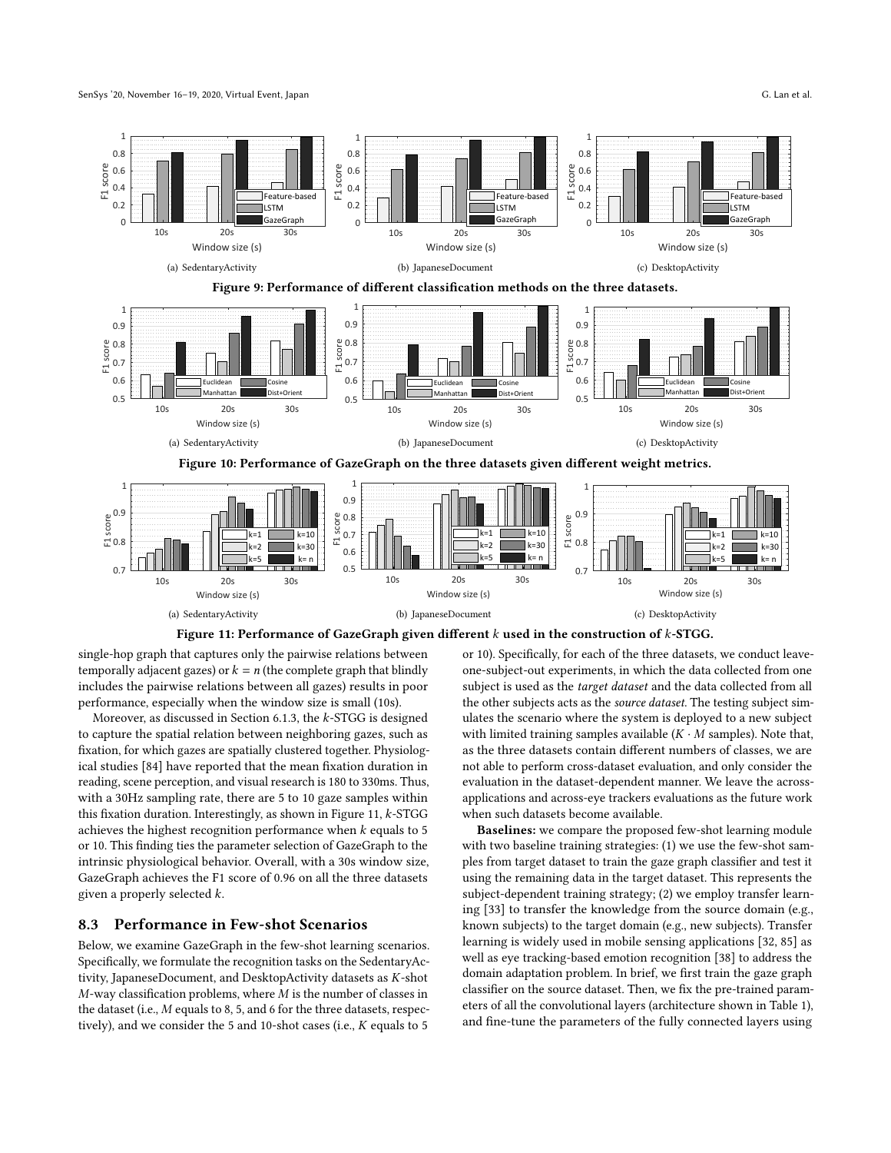<span id="page-9-2"></span><span id="page-9-1"></span>

Figure 11: Performance of GazeGraph given different  $k$  used in the construction of  $k$ -STGG.

<span id="page-9-3"></span>single-hop graph that captures only the pairwise relations between temporally adjacent gazes) or  $k = n$  (the complete graph that blindly includes the pairwise relations between all gazes) results in poor performance, especially when the window size is small (10s).

Moreover, as discussed in Section [6.1.3,](#page-5-4) the  $k$ -STGG is designed to capture the spatial relation between neighboring gazes, such as fixation, for which gazes are spatially clustered together. Physiological studies [\[84\]](#page-13-18) have reported that the mean fixation duration in reading, scene perception, and visual research is 180 to 330ms. Thus, with a 30Hz sampling rate, there are 5 to 10 gaze samples within this fixation duration. Interestingly, as shown in Figure [11,](#page-9-3)  $k$ -STGG achieves the highest recognition performance when  $k$  equals to 5 or 10. This finding ties the parameter selection of GazeGraph to the intrinsic physiological behavior. Overall, with a 30s window size, GazeGraph achieves the F1 score of 0.96 on all the three datasets given a properly selected  $k$ .

### <span id="page-9-0"></span>8.3 Performance in Few-shot Scenarios

Below, we examine GazeGraph in the few-shot learning scenarios. Specifically, we formulate the recognition tasks on the SedentaryActivity, JapaneseDocument, and DesktopActivity datasets as  $K$ -shot  $M$ -way classification problems, where  $M$  is the number of classes in the dataset (i.e.,  $M$  equals to 8, 5, and 6 for the three datasets, respectively), and we consider the 5 and 10-shot cases (i.e.,  $K$  equals to 5

or 10). Specifically, for each of the three datasets, we conduct leaveone-subject-out experiments, in which the data collected from one subject is used as the target dataset and the data collected from all the other subjects acts as the source dataset. The testing subject simulates the scenario where the system is deployed to a new subject with limited training samples available  $(K \cdot M)$  samples). Note that, as the three datasets contain different numbers of classes, we are not able to perform cross-dataset evaluation, and only consider the evaluation in the dataset-dependent manner. We leave the acrossapplications and across-eye trackers evaluations as the future work when such datasets become available.

Baselines: we compare the proposed few-shot learning module with two baseline training strategies: (1) we use the few-shot samples from target dataset to train the gaze graph classifier and test it using the remaining data in the target dataset. This represents the subject-dependent training strategy; (2) we employ transfer learning [\[33\]](#page-12-25) to transfer the knowledge from the source domain (e.g., known subjects) to the target domain (e.g., new subjects). Transfer learning is widely used in mobile sensing applications [\[32,](#page-12-24) [85\]](#page-13-19) as well as eye tracking-based emotion recognition [\[38\]](#page-12-32) to address the domain adaptation problem. In brief, we first train the gaze graph classifier on the source dataset. Then, we fix the pre-trained parameters of all the convolutional layers (architecture shown in Table [1\)](#page-6-3), and fine-tune the parameters of the fully connected layers using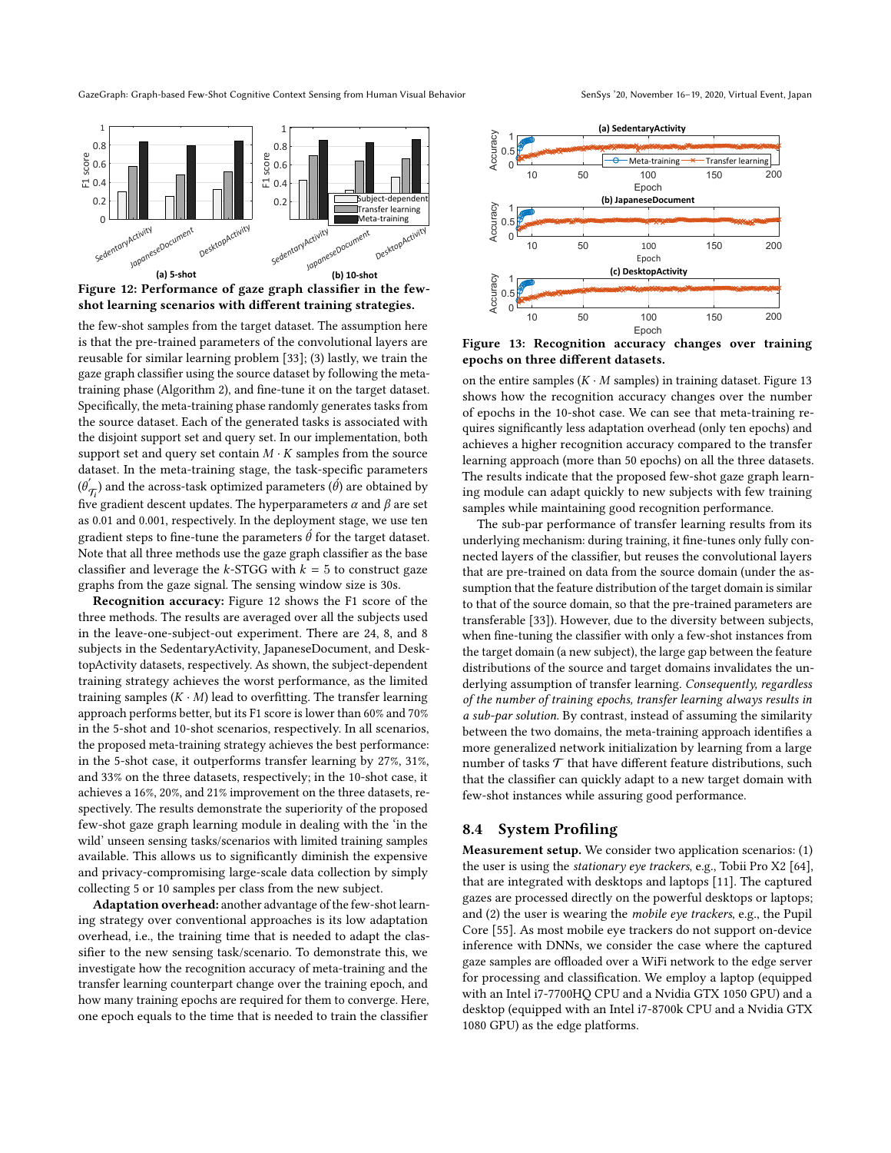GazeGraph: Graph-based Few-Shot Cognitive Context Sensing from Human Visual Behavior SenSys '20, November 16-19, 2020, Virtual Event, Japan

<span id="page-10-0"></span>

shot learning scenarios with different training strategies.

the few-shot samples from the target dataset. The assumption here is that the pre-trained parameters of the convolutional layers are reusable for similar learning problem [\[33\]](#page-12-25); (3) lastly, we train the gaze graph classifier using the source dataset by following the metatraining phase (Algorithm [2\)](#page-7-2), and fine-tune it on the target dataset. Specifically, the meta-training phase randomly generates tasks from the source dataset. Each of the generated tasks is associated with the disjoint support set and query set. In our implementation, both support set and query set contain  $M \cdot K$  samples from the source dataset. In the meta-training stage, the task-specific parameters  $(\theta'_c)$  $\tilde{\mathcal{T}}_{T_l}$ ) and the across-task optimized parameters ( $\hat{\theta}$ ) are obtained by five gradient descent updates. The hyperparameters  $\alpha$  and  $\beta$  are set as 0.01 and 0.001, respectively. In the deployment stage, we use ten gradient steps to fine-tune the parameters  $\hat{\theta}$  for the target dataset. Note that all three methods use the gaze graph classifier as the base classifier and leverage the  $k$ -STGG with  $k = 5$  to construct gaze graphs from the gaze signal. The sensing window size is 30s.

Recognition accuracy: Figure [12](#page-10-0) shows the F1 score of the three methods. The results are averaged over all the subjects used in the leave-one-subject-out experiment. There are 24, 8, and 8 subjects in the SedentaryActivity, JapaneseDocument, and DesktopActivity datasets, respectively. As shown, the subject-dependent training strategy achieves the worst performance, as the limited training samples  $(K \cdot M)$  lead to overfitting. The transfer learning approach performs better, but its F1 score is lower than 60% and 70% in the 5-shot and 10-shot scenarios, respectively. In all scenarios, the proposed meta-training strategy achieves the best performance: in the 5-shot case, it outperforms transfer learning by 27%, 31%, and 33% on the three datasets, respectively; in the 10-shot case, it achieves a 16%, 20%, and 21% improvement on the three datasets, respectively. The results demonstrate the superiority of the proposed few-shot gaze graph learning module in dealing with the 'in the wild' unseen sensing tasks/scenarios with limited training samples available. This allows us to significantly diminish the expensive and privacy-compromising large-scale data collection by simply collecting 5 or 10 samples per class from the new subject.

Adaptation overhead: another advantage of the few-shot learning strategy over conventional approaches is its low adaptation overhead, i.e., the training time that is needed to adapt the classifier to the new sensing task/scenario. To demonstrate this, we investigate how the recognition accuracy of meta-training and the transfer learning counterpart change over the training epoch, and how many training epochs are required for them to converge. Here, one epoch equals to the time that is needed to train the classifier

<span id="page-10-1"></span>

Figure 13: Recognition accuracy changes over training epochs on three different datasets.

on the entire samples  $(K \cdot M)$  samples) in training dataset. Figure [13](#page-10-1) shows how the recognition accuracy changes over the number of epochs in the 10-shot case. We can see that meta-training requires significantly less adaptation overhead (only ten epochs) and achieves a higher recognition accuracy compared to the transfer learning approach (more than 50 epochs) on all the three datasets. The results indicate that the proposed few-shot gaze graph learning module can adapt quickly to new subjects with few training samples while maintaining good recognition performance.

The sub-par performance of transfer learning results from its underlying mechanism: during training, it fine-tunes only fully connected layers of the classifier, but reuses the convolutional layers that are pre-trained on data from the source domain (under the assumption that the feature distribution of the target domain is similar to that of the source domain, so that the pre-trained parameters are transferable [\[33\]](#page-12-25)). However, due to the diversity between subjects, when fine-tuning the classifier with only a few-shot instances from the target domain (a new subject), the large gap between the feature distributions of the source and target domains invalidates the underlying assumption of transfer learning. Consequently, regardless of the number of training epochs, transfer learning always results in a sub-par solution. By contrast, instead of assuming the similarity between the two domains, the meta-training approach identifies a more generalized network initialization by learning from a large number of tasks  $T$  that have different feature distributions, such that the classifier can quickly adapt to a new target domain with few-shot instances while assuring good performance.

# 8.4 System Profiling

Measurement setup. We consider two application scenarios: (1) the user is using the stationary eye trackers, e.g., Tobii Pro X2 [\[64\]](#page-12-57), that are integrated with desktops and laptops [\[11\]](#page-12-6). The captured gazes are processed directly on the powerful desktops or laptops; and (2) the user is wearing the mobile eye trackers, e.g., the Pupil Core [\[55\]](#page-12-49). As most mobile eye trackers do not support on-device inference with DNNs, we consider the case where the captured gaze samples are offloaded over a WiFi network to the edge server for processing and classification. We employ a laptop (equipped with an Intel i7-7700HQ CPU and a Nvidia GTX 1050 GPU) and a desktop (equipped with an Intel i7-8700k CPU and a Nvidia GTX 1080 GPU) as the edge platforms.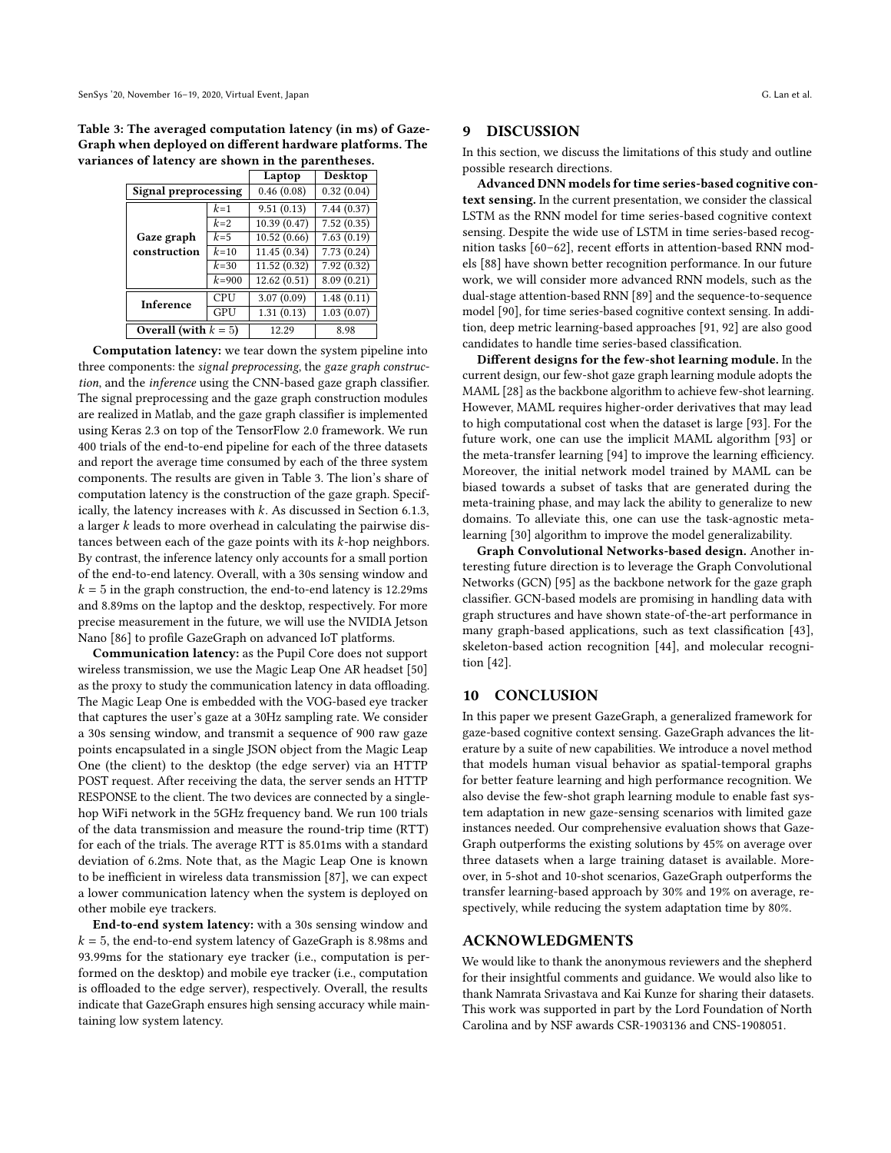<span id="page-11-2"></span>Table 3: The averaged computation latency (in ms) of Gaze-Graph when deployed on different hardware platforms. The variances of latency are shown in the parentheses.

|                         |            | Laptop       | Desktop    |
|-------------------------|------------|--------------|------------|
| Signal preprocessing    |            | 0.46(0.08)   | 0.32(0.04) |
|                         | $k=1$      | 9.51(0.13)   | 7.44(0.37) |
|                         | $k=2$      | 10.39(0.47)  | 7.52(0.35) |
| Gaze graph              | $k=5$      | 10.52(0.66)  | 7.63(0.19) |
| construction            | $k=10$     | 11.45 (0.34) | 7.73(0.24) |
|                         | $k=30$     | 11.52 (0.32) | 7.92(0.32) |
|                         | $k = 900$  | 12.62(0.51)  | 8.09(0.21) |
| Inference               | CPU        | 3.07(0.09)   | 1.48(0.11) |
|                         | <b>GPU</b> | 1.31(0.13)   | 1.03(0.07) |
| Overall (with $k = 5$ ) |            | 12.29        | 8.98       |

Computation latency: we tear down the system pipeline into three components: the signal preprocessing, the gaze graph construction, and the inference using the CNN-based gaze graph classifier. The signal preprocessing and the gaze graph construction modules are realized in Matlab, and the gaze graph classifier is implemented using Keras 2.3 on top of the TensorFlow 2.0 framework. We run 400 trials of the end-to-end pipeline for each of the three datasets and report the average time consumed by each of the three system components. The results are given in Table [3.](#page-11-2) The lion's share of computation latency is the construction of the gaze graph. Specifically, the latency increases with  $k$ . As discussed in Section [6.1.3,](#page-5-4) a larger  $k$  leads to more overhead in calculating the pairwise distances between each of the gaze points with its  $k$ -hop neighbors. By contrast, the inference latency only accounts for a small portion of the end-to-end latency. Overall, with a 30s sensing window and  $k = 5$  in the graph construction, the end-to-end latency is 12.29ms and 8.89ms on the laptop and the desktop, respectively. For more precise measurement in the future, we will use the NVIDIA Jetson Nano [\[86\]](#page-13-20) to profile GazeGraph on advanced IoT platforms.

Communication latency: as the Pupil Core does not support wireless transmission, we use the Magic Leap One AR headset [\[50\]](#page-12-59) as the proxy to study the communication latency in data offloading. The Magic Leap One is embedded with the VOG-based eye tracker that captures the user's gaze at a 30Hz sampling rate. We consider a 30s sensing window, and transmit a sequence of 900 raw gaze points encapsulated in a single JSON object from the Magic Leap One (the client) to the desktop (the edge server) via an HTTP POST request. After receiving the data, the server sends an HTTP RESPONSE to the client. The two devices are connected by a singlehop WiFi network in the 5GHz frequency band. We run 100 trials of the data transmission and measure the round-trip time (RTT) for each of the trials. The average RTT is 85.01ms with a standard deviation of 6.2ms. Note that, as the Magic Leap One is known to be inefficient in wireless data transmission [\[87\]](#page-13-21), we can expect a lower communication latency when the system is deployed on other mobile eye trackers.

End-to-end system latency: with a 30s sensing window and  $k = 5$ , the end-to-end system latency of GazeGraph is 8.98ms and 93.99ms for the stationary eye tracker (i.e., computation is performed on the desktop) and mobile eye tracker (i.e., computation is offloaded to the edge server), respectively. Overall, the results indicate that GazeGraph ensures high sensing accuracy while maintaining low system latency.

### <span id="page-11-0"></span>9 DISCUSSION

In this section, we discuss the limitations of this study and outline possible research directions.

Advanced DNN models for time series-based cognitive context sensing. In the current presentation, we consider the classical LSTM as the RNN model for time series-based cognitive context sensing. Despite the wide use of LSTM in time series-based recognition tasks [\[60–](#page-12-54)[62\]](#page-12-55), recent efforts in attention-based RNN models [\[88\]](#page-13-22) have shown better recognition performance. In our future work, we will consider more advanced RNN models, such as the dual-stage attention-based RNN [\[89\]](#page-13-23) and the sequence-to-sequence model [\[90\]](#page-13-24), for time series-based cognitive context sensing. In addition, deep metric learning-based approaches [\[91,](#page-13-25) [92\]](#page-13-26) are also good candidates to handle time series-based classification.

Different designs for the few-shot learning module. In the current design, our few-shot gaze graph learning module adopts the MAML [\[28\]](#page-12-42) as the backbone algorithm to achieve few-shot learning. However, MAML requires higher-order derivatives that may lead to high computational cost when the dataset is large [\[93\]](#page-13-27). For the future work, one can use the implicit MAML algorithm [\[93\]](#page-13-27) or the meta-transfer learning [\[94\]](#page-13-28) to improve the learning efficiency. Moreover, the initial network model trained by MAML can be biased towards a subset of tasks that are generated during the meta-training phase, and may lack the ability to generalize to new domains. To alleviate this, one can use the task-agnostic metalearning [\[30\]](#page-12-64) algorithm to improve the model generalizability.

Graph Convolutional Networks-based design. Another interesting future direction is to leverage the Graph Convolutional Networks (GCN) [\[95\]](#page-13-29) as the backbone network for the gaze graph classifier. GCN-based models are promising in handling data with graph structures and have shown state-of-the-art performance in many graph-based applications, such as text classification [\[43\]](#page-12-37), skeleton-based action recognition [\[44\]](#page-12-38), and molecular recognition [\[42\]](#page-12-36).

# <span id="page-11-1"></span>10 CONCLUSION

In this paper we present GazeGraph, a generalized framework for gaze-based cognitive context sensing. GazeGraph advances the literature by a suite of new capabilities. We introduce a novel method that models human visual behavior as spatial-temporal graphs for better feature learning and high performance recognition. We also devise the few-shot graph learning module to enable fast system adaptation in new gaze-sensing scenarios with limited gaze instances needed. Our comprehensive evaluation shows that Gaze-Graph outperforms the existing solutions by 45% on average over three datasets when a large training dataset is available. Moreover, in 5-shot and 10-shot scenarios, GazeGraph outperforms the transfer learning-based approach by 30% and 19% on average, respectively, while reducing the system adaptation time by 80%.

# ACKNOWLEDGMENTS

We would like to thank the anonymous reviewers and the shepherd for their insightful comments and guidance. We would also like to thank Namrata Srivastava and Kai Kunze for sharing their datasets. This work was supported in part by the Lord Foundation of North Carolina and by NSF awards CSR-1903136 and CNS-1908051.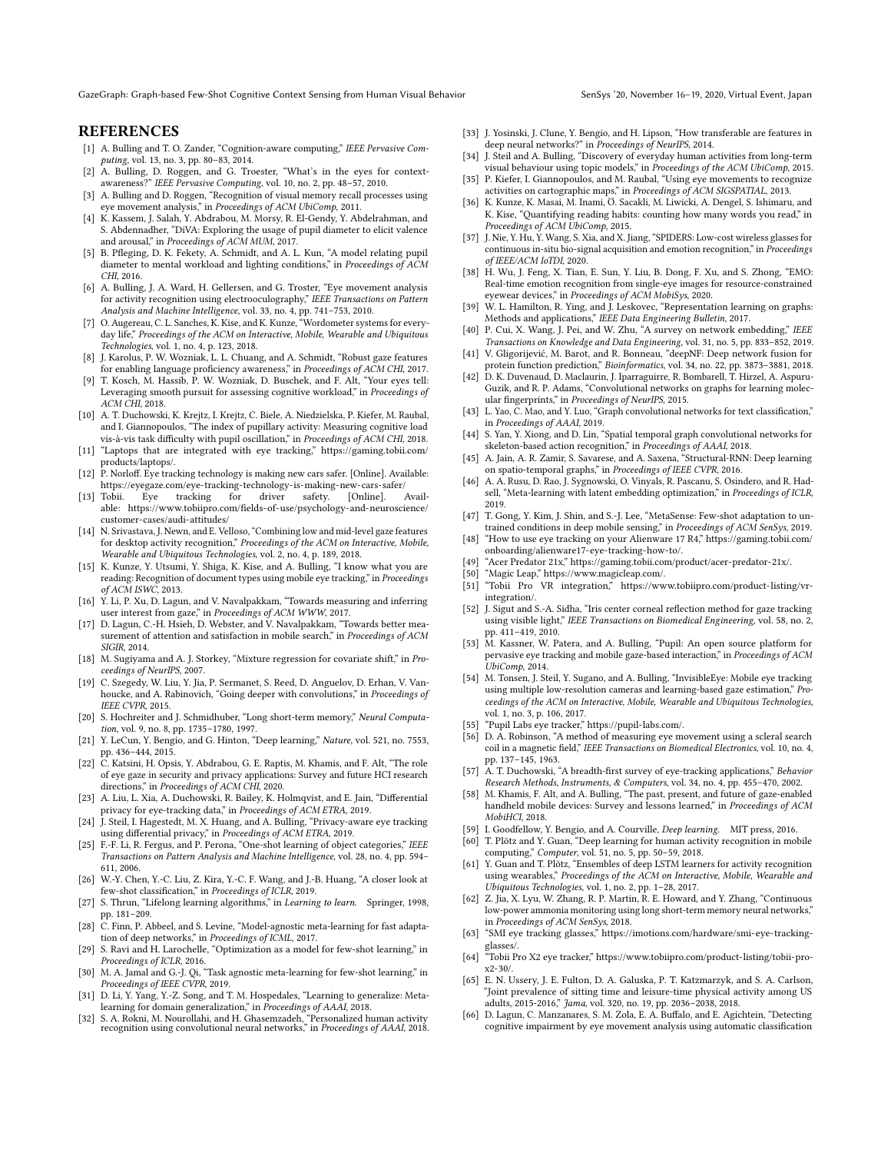GazeGraph: Graph-based Few-Shot Cognitive Context Sensing from Human Visual Behavior SenSys '20, November 16-19, 2020, Virtual Event, Japan

# **REFERENCES**

- <span id="page-12-0"></span>[1] A. Bulling and T. O. Zander, "Cognition-aware computing," IEEE Pervasive Computing, vol. 13, no. 3, pp. 80–83, 2014.
- <span id="page-12-1"></span>[2] A. Bulling, D. Roggen, and G. Troester, "What's in the eyes for contextawareness?" IEEE Pervasive Computing, vol. 10, no. 2, pp. 48–57, 2010.
- <span id="page-12-2"></span>[3] A. Bulling and D. Roggen, "Recognition of visual memory recall processes using eye movement analysis," in Proceedings of ACM UbiComp, 2011.
- <span id="page-12-3"></span>[4] K. Kassem, J. Salah, Y. Abdrabou, M. Morsy, R. El-Gendy, Y. Abdelrahman, and S. Abdennadher, "DiVA: Exploring the usage of pupil diameter to elicit valence and arousal," in Proceedings of ACM MUM, 2017.
- <span id="page-12-4"></span>[5] B. Pfleging, D. K. Fekety, A. Schmidt, and A. L. Kun, "A model relating pupil diameter to mental workload and lighting conditions," in Proceedings of ACM CHI, 2016.
- <span id="page-12-26"></span>[6] A. Bulling, J. A. Ward, H. Gellersen, and G. Troster, "Eye movement analysis for activity recognition using electrooculography," IEEE Transactions on Pattern Analysis and Machine Intelligence, vol. 33, no. 4, pp. 741–753, 2010.
- <span id="page-12-29"></span>[7] O. Augereau, C. L. Sanches, K. Kise, and K. Kunze, "Wordometer systems for everyday life," Proceedings of the ACM on Interactive, Mobile, Wearable and Ubiquitous Technologies, vol. 1, no. 4, p. 123, 2018.
- <span id="page-12-12"></span>[8] J. Karolus, P. W. Wozniak, L. L. Chuang, and A. Schmidt, "Robust gaze features for enabling language proficiency awareness," in Proceedings of ACM CHI, 2017.
- <span id="page-12-11"></span>[9] T. Kosch, M. Hassib, P. W. Wozniak, D. Buschek, and F. Alt, "Your eyes tell: Leveraging smooth pursuit for assessing cognitive workload," in Proceedings of ACM CHI, 2018.
- <span id="page-12-5"></span>[10] A. T. Duchowski, K. Krejtz, I. Krejtz, C. Biele, A. Niedzielska, P. Kiefer, M. Raubal, and I. Giannopoulos, "The index of pupillary activity: Measuring cognitive load vis-à-vis task difficulty with pupil oscillation," in Proceedings of ACM CHI, 2018.
- <span id="page-12-6"></span>[11] "Laptops that are integrated with eye tracking," [https://gaming.tobii.com/](https://gaming.tobii.com/products/laptops/) [products/laptops/.](https://gaming.tobii.com/products/laptops/)
- <span id="page-12-7"></span>[12] P. Norloff. Eye tracking technology is making new cars safer. [Online]. Available: <https://eyegaze.com/eye-tracking-technology-is-making-new-cars-safer/>
- <span id="page-12-8"></span>[13] Tobii. Eye tracking for driver safety. able: [https://www.tobiipro.com/fields-of-use/psychology-and-neuroscience/](https://www.tobiipro.com/fields-of-use/psychology-and-neuroscience/customer-cases/audi-attitudes/) [customer-cases/audi-attitudes/](https://www.tobiipro.com/fields-of-use/psychology-and-neuroscience/customer-cases/audi-attitudes/)
- <span id="page-12-9"></span>[14] N. Srivastava, J. Newn, and E. Velloso, "Combining low and mid-level gaze features for desktop activity recognition," Proceedings of the ACM on Interactive, Mobile, Wearable and Ubiquitous Technologies, vol. 2, no. 4, p. 189, 2018.
- <span id="page-12-10"></span>[15] K. Kunze, Y. Utsumi, Y. Shiga, K. Kise, and A. Bulling, "I know what you are reading: Recognition of document types using mobile eye tracking," in Proceedings  $of$   $ACM$   $ISWC$ ,  $2013$ .
- <span id="page-12-13"></span>[16] Y. Li, P. Xu, D. Lagun, and V. Navalpakkam, "Towards measuring and inferring user interest from gaze," in Proceedings of ACM WWW, 2017.
- <span id="page-12-14"></span>[17] D. Lagun, C.-H. Hsieh, D. Webster, and V. Navalpakkam, "Towards better measurement of attention and satisfaction in mobile search," in *Proceedings of ACM* SIGIR, 2014.
- <span id="page-12-15"></span>[18] M. Sugiyama and A. J. Storkey, "Mixture regression for covariate shift," in Proceedings of NeurIPS, 2007.
- <span id="page-12-16"></span>[19] C. Szegedy, W. Liu, Y. Jia, P. Sermanet, S. Reed, D. Anguelov, D. Erhan, V. Vanhoucke, and A. Rabinovich, "Going deeper with convolutions," in Proceedings of IEEE CVPR, 2015.
- <span id="page-12-17"></span>[20] S. Hochreiter and J. Schmidhuber, "Long short-term memory," Neural Computation, vol. 9, no. 8, pp. 1735–1780, 1997.
- <span id="page-12-18"></span>[21] Y. LeCun, Y. Bengio, and G. Hinton, "Deep learning," Nature, vol. 521, no. 7553, pp. 436–444, 2015.
- <span id="page-12-19"></span>[22] C. Katsini, H. Opsis, Y. Abdrabou, G. E. Raptis, M. Khamis, and F. Alt, "The role of eye gaze in security and privacy applications: Survey and future HCI research directions," in Proceedings of ACM CHI, 2020.
- [23] A. Liu, L. Xia, A. Duchowski, R. Bailey, K. Holmqvist, and E. Jain, "Differential privacy for eye-tracking data," in Proceedings of ACM ETRA, 2019.
- <span id="page-12-20"></span>[24] J. Steil, I. Hagestedt, M. X. Huang, and A. Bulling, "Privacy-aware eye tracking using differential privacy," in Proceedings of ACM ETRA, 2019.
- <span id="page-12-21"></span>[25] F.-F. Li, R. Fergus, and P. Perona, "One-shot learning of object categories," IEEE Transactions on Pattern Analysis and Machine Intelligence, vol. 28, no. 4, pp. 594– 611, 2006.
- <span id="page-12-22"></span>[26] W.-Y. Chen, Y.-C. Liu, Z. Kira, Y.-C. F. Wang, and J.-B. Huang, "A closer look at few-shot classification," in Proceedings of ICLR, 2019.
- <span id="page-12-43"></span>[27] S. Thrun, "Lifelong learning algorithms," in Learning to learn. Springer, 1998, pp. 181–209.
- <span id="page-12-42"></span>[28] C. Finn, P. Abbeel, and S. Levine, "Model-agnostic meta-learning for fast adaptation of deep networks," in Proceedings of ICML, 2017.
- <span id="page-12-62"></span>[29] S. Ravi and H. Larochelle, "Optimization as a model for few-shot learning," in Proceedings of ICLR, 2016.
- <span id="page-12-64"></span>[30] M. A. Jamal and G.-J. Qi, "Task agnostic meta-learning for few-shot learning," in Proceedings of IEEE CVPR, 2019.
- <span id="page-12-23"></span>[31] D. Li, Y. Yang, Y.-Z. Song, and T. M. Hospedales, "Learning to generalize: Metalearning for domain generalization," in Proceedings of AAAI, 2018.
- <span id="page-12-24"></span>[32] S. A. Rokni, M. Nourollahi, and H. Ghasemzadeh, "Personalized human activity recognition using convolutional neural networks," in Proceedings of AAAI, 2018.
- <span id="page-12-25"></span>[33] J. Yosinski, J. Clune, Y. Bengio, and H. Lipson, "How transferable are features in deep neural networks?" in Proceedings of NeurIPS, 2014.
- <span id="page-12-27"></span>[34] J. Steil and A. Bulling, "Discovery of everyday human activities from long-term visual behaviour using topic models," in Proceedings of the ACM UbiComp, 2015.
- <span id="page-12-28"></span>[35] P. Kiefer, I. Giannopoulos, and M. Raubal, "Using eye movements to recognize activities on cartographic maps," in Proceedings of ACM SIGSPATIAL, 2013.
- <span id="page-12-30"></span>[36] K. Kunze, K. Masai, M. Inami, Ö. Sacakli, M. Liwicki, A. Dengel, S. Ishimaru, and K. Kise, "Quantifying reading habits: counting how many words you read," in Proceedings of ACM UbiComp, 2015.
- <span id="page-12-31"></span>[37] J. Nie, Y. Hu, Y. Wang, S. Xia, and X. Jiang, "SPIDERS: Low-cost wireless glasses for continuous in-situ bio-signal acquisition and emotion recognition," in Proceedings of IEEE/ACM IoTDI, 2020.
- <span id="page-12-32"></span>[38] H. Wu, J. Feng, X. Tian, E. Sun, Y. Liu, B. Dong, F. Xu, and S. Zhong, "EMO: Real-time emotion recognition from single-eye images for resource-constrained eyewear devices," in Proceedings of ACM MobiSys, 2020.
- <span id="page-12-33"></span>[39] W. L. Hamilton, R. Ying, and J. Leskovec, "Representation learning on graphs: Methods and applications," IEEE Data Engineering Bulletin, 2017.
- <span id="page-12-34"></span>[40] P. Cui, X. Wang, J. Pei, and W. Zhu, "A survey on network embedding," IEEE Transactions on Knowledge and Data Engineering, vol. 31, no. 5, pp. 833–852, 2019. [41] V. Gligorijević, M. Barot, and R. Bonneau, "deepNF: Deep network fusion for
- <span id="page-12-35"></span>protein function prediction," Bioinformatics, vol. 34, no. 22, pp. 3873–3881, 2018. [42] D. K. Duvenaud, D. Maclaurin, J. Iparraguirre, R. Bombarell, T. Hirzel, A. Aspuru-
- <span id="page-12-36"></span>Guzik, and R. P. Adams, "Convolutional networks on graphs for learning molecular fingerprints," in Proceedings of NeurIPS, 2015.
- <span id="page-12-37"></span>[43] L. Yao, C. Mao, and Y. Luo, "Graph convolutional networks for text classification," in Proceedings of AAAI, 2019.
- <span id="page-12-38"></span>[44] S. Yan, Y. Xiong, and D. Lin, "Spatial temporal graph convolutional networks for skeleton-based action recognition," in Proceedings of AAAI, 2018.
- <span id="page-12-39"></span>[45] A. Jain, A. R. Zamir, S. Savarese, and A. Saxena, "Structural-RNN: Deep learning on spatio-temporal graphs," in Proceedings of IEEE CVPR, 2016.
- <span id="page-12-40"></span>[46] A. A. Rusu, D. Rao, J. Sygnowski, O. Vinyals, R. Pascanu, S. Osindero, and R. Hadsell, "Meta-learning with latent embedding optimization," in Proceedings of ICLR, 2019.
- <span id="page-12-41"></span>[47] T. Gong, Y. Kim, J. Shin, and S.-J. Lee, "MetaSense: Few-shot adaptation to untrained conditions in deep mobile sensing," in Proceedings of ACM SenSys, 2019.
- <span id="page-12-44"></span>[48] "How to use eye tracking on your Alienware 17 R4," [https://gaming.tobii.com/](https://gaming.tobii.com/onboarding/alienware17-eye-tracking-how-to/) [onboarding/alienware17-eye-tracking-how-to/.](https://gaming.tobii.com/onboarding/alienware17-eye-tracking-how-to/)
- <span id="page-12-58"></span>[49] "Acer Predator 21x," [https://gaming.tobii.com/product/acer-predator-21x/.](https://gaming.tobii.com/product/acer-predator-21x/)
- <span id="page-12-59"></span>[50] "Magic Leap," [https://www.magicleap.com/.](https://www.magicleap.com/)<br>[51] "Tobii Pro VR integration," https://ww
- <span id="page-12-45"></span>[51] "Tobii Pro VR integration," [https://www.tobiipro.com/product-listing/vr](https://www.tobiipro.com/product-listing/vr-integration/)[integration/.](https://www.tobiipro.com/product-listing/vr-integration/)
- <span id="page-12-46"></span>[52] J. Sigut and S.-A. Sidha, "Iris center corneal reflection method for gaze tracking using visible light," IEEE Transactions on Biomedical Engineering, vol. 58, no. 2, pp. 411–419, 2010.
- <span id="page-12-48"></span>[53] M. Kassner, W. Patera, and A. Bulling, "Pupil: An open source platform for pervasive eye tracking and mobile gaze-based interaction," in Proceedings of ACM UbiComp, 2014.
- <span id="page-12-47"></span>[54] M. Tonsen, J. Steil, Y. Sugano, and A. Bulling, "InvisibleEye: Mobile eye tracking using multiple low-resolution cameras and learning-based gaze estimation," Proceedings of the ACM on Interactive, Mobile, Wearable and Ubiquitous Technologies, vol. 1, no. 3, p. 106, 2017.
- <span id="page-12-49"></span>[55] "Pupil Labs eye tracker," [https://pupil-labs.com/.](https://pupil-labs.com/)
- <span id="page-12-50"></span>D. A. Robinson, "A method of measuring eye movement using a scleral search coil in a magnetic field," IEEE Transactions on Biomedical Electronics, vol. 10, no. 4, pp. 137–145, 1963.
- <span id="page-12-51"></span>[57] A. T. Duchowski, "A breadth-first survey of eye-tracking applications," Behavior Research Methods, Instruments, & Computers, vol. 34, no. 4, pp. 455–470, 2002.
- <span id="page-12-52"></span>[58] M. Khamis, F. Alt, and A. Bulling, "The past, present, and future of gaze-enabled handheld mobile devices: Survey and lessons learned," in Proceedings of ACM MobiHCI, 2018.
- <span id="page-12-53"></span>[59] I. Goodfellow, Y. Bengio, and A. Courville, Deep learning. MIT press, 2016.
- <span id="page-12-54"></span>[60] T. Plötz and Y. Guan, "Deep learning for human activity recognition in mobile computing," Computer, vol. 51, no. 5, pp. 50–59, 2018.
- <span id="page-12-63"></span>[61] Y. Guan and T. Plötz, "Ensembles of deep LSTM learners for activity recognition using wearables," Proceedings of the ACM on Interactive, Mobile, Wearable and Ubiquitous Technologies, vol. 1, no. 2, pp. 1–28, 2017.
- <span id="page-12-55"></span>[62] Z. Jia, X. Lyu, W. Zhang, R. P. Martin, R. E. Howard, and Y. Zhang, "Continuous low-power ammonia monitoring using long short-term memory neural networks," in Proceedings of ACM SenSys, 2018.
- <span id="page-12-56"></span>[63] "SMI eye tracking glasses," [https://imotions.com/hardware/smi-eye-tracking](https://imotions.com/hardware/smi-eye-tracking-glasses/)[glasses/.](https://imotions.com/hardware/smi-eye-tracking-glasses/) [64] "Tobii Pro X2 eye tracker," [https://www.tobiipro.com/product-listing/tobii-pro-](https://www.tobiipro.com/product-listing/tobii-pro-x2-30/)
- <span id="page-12-57"></span>[x2-30/.](https://www.tobiipro.com/product-listing/tobii-pro-x2-30/)
- <span id="page-12-60"></span>[65] E. N. Ussery, J. E. Fulton, D. A. Galuska, P. T. Katzmarzyk, and S. A. Carlson, "Joint prevalence of sitting time and leisure-time physical activity among US adults, 2015-2016," Jama, vol. 320, no. 19, pp. 2036–2038, 2018.
- <span id="page-12-61"></span>[66] D. Lagun, C. Manzanares, S. M. Zola, E. A. Buffalo, and E. Agichtein, "Detecting cognitive impairment by eye movement analysis using automatic classification